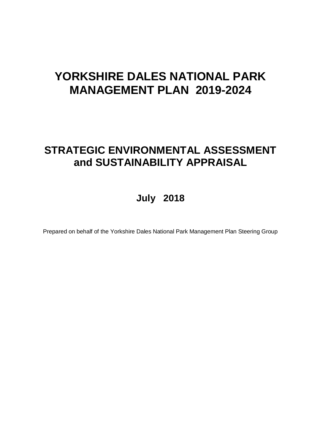# **YORKSHIRE DALES NATIONAL PARK MANAGEMENT PLAN 2019-2024**

# **STRATEGIC ENVIRONMENTAL ASSESSMENT and SUSTAINABILITY APPRAISAL**

# **July 2018**

Prepared on behalf of the Yorkshire Dales National Park Management Plan Steering Group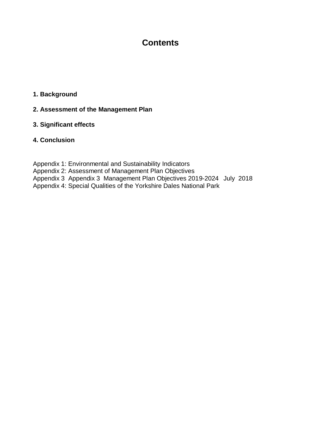# **Contents**

### **1. Background**

### **2. Assessment of the Management Plan**

### **3. Significant effects**

### **4. Conclusion**

Appendix 1: Environmental and Sustainability Indicators Appendix 2: Assessment of Management Plan Objectives Appendix 3 Appendix 3 Management Plan Objectives 2019-2024 July 2018 Appendix 4: Special Qualities of the Yorkshire Dales National Park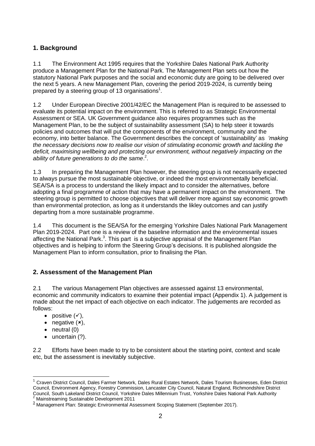### **1. Background**

1.1 The Environment Act 1995 requires that the Yorkshire Dales National Park Authority produce a Management Plan for the National Park. The Management Plan sets out how the statutory National Park purposes and the social and economic duty are going to be delivered over the next 5 years. A new Management Plan, covering the period 2019-2024, is currently being prepared by a steering group of 13 organisations<sup>1</sup>.

1.2 Under European Directive 2001/42/EC the Management Plan is required to be assessed to evaluate its potential impact on the environment. This is referred to as Strategic Environmental Assessment or SEA. UK Government guidance also requires programmes such as the Management Plan, to be the subject of sustainability assessment (SA) to help steer it towards policies and outcomes that will put the components of the environment, community and the economy, into better balance. The Government describes the concept of 'sustainability' as *'making the necessary decisions now to realise our vision of stimulating economic growth and tackling the deficit, maximising wellbeing and protecting our environment, without negatively impacting on the ability of future generations to do the same*. 2 .

1.3 In preparing the Management Plan however, the steering group is not necessarily expected to always pursue the most sustainable objective, or indeed the most environmentally beneficial. SEA/SA is a process to understand the likely impact and to consider the alternatives, before adopting a final programme of action that may have a permanent impact on the environment. The steering group is permitted to choose objectives that will deliver more against say economic growth than environmental protection, as long as it understands the likley outcomes and can justify departing from a more sustainable programme.

1.4 This document is the SEA/SA for the emerging Yorkshire Dales National Park Management Plan 2019-2024. Part one is a review of the baseline information and the environmental issues affecting the National Park.<sup>3</sup>. This part is a subjective appraisal of the Management Plan objectives and is helping to inform the Steering Group's decisions. It is published alongside the Management Plan to inform consultation, prior to finalising the Plan.

### **2. Assessment of the Management Plan**

2.1 The various Management Plan objectives are assessed against 13 environmental, economic and community indicators to examine their potential impact (Appendix 1). A judgement is made about the net impact of each objective on each indicator. The judgements are recorded as follows:

- positive  $(v)$ ,
- negative  $(x)$ ,
- neutral (0)

 $\overline{\phantom{a}}$ 

• uncertain (?).

2.2 Efforts have been made to try to be consistent about the starting point, context and scale etc, but the assessment is inevitably subjective.

<sup>&</sup>lt;sup>1</sup> Craven District Council, Dales Farmer Network, Dales Rural Estates Network, Dales Tourism Businesses, Eden District Council, Environment Agency, Forestry Commission, Lancaster City Council, Natural England, Richmondshire District Council, South Lakeland District Council, Yorkshire Dales Millennium Trust, Yorkshire Dales National Park Authority <sup>2</sup> Mainstreaming Sustainable Development 2011

<sup>&</sup>lt;sup>3</sup> Management Plan: Strategic Environmental Assessment Scoping Statement (September 2017).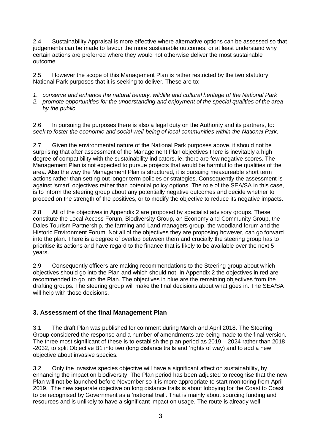2.4 Sustainability Appraisal is more effective where alternative options can be assessed so that judgements can be made to favour the more sustainable outcomes, or at least understand why certain actions are preferred where they would not otherwise deliver the most sustainable outcome.

2.5 However the scope of this Management Plan is rather restricted by the two statutory National Park purposes that it is seeking to deliver. These are to:

- *1. conserve and enhance the natural beauty, wildlife and cultural heritage of the National Park*
- *2. promote opportunities for the understanding and enjoyment of the special qualities of the area by the public*

2.6 In pursuing the purposes there is also a legal duty on the Authority and its partners, to: *seek to foster the economic and social well-being of local communities within the National Park.*

2.7 Given the environmental nature of the National Park purposes above, it should not be surprising that after assessment of the Management Plan objectives there is inevitably a high degree of compatibility with the sustainability indicators, ie. there are few negative scores. The Management Plan is not expected to pursue projects that would be harmful to the qualities of the area. Also the way the Management Plan is structured, it is pursuing measureable short term actions rather than setting out longer term policies or strategies. Consequently the assessment is against 'smart' objectives rather than potential policy options. The role of the SEA/SA in this case, is to inform the steering group about any potentially negative outcomes and decide whether to proceed on the strength of the positives, or to modify the objective to reduce its negative impacts.

2.8 All of the objectives in Appendix 2 are proposed by specialist advisory groups. These constitute the Local Access Forum, Biodiversity Group, an Economy and Community Group, the Dales Tourism Partnership, the farming and Land managers group, the woodland forum and the Historic Environment Forum. Not all of the objectives they are proposing however, can go forward into the plan. There is a degree of overlap between them and crucially the steering group has to prioritise its actions and have regard to the finance that is likely to be available over the next 5 years.

2.9 Consequently officers are making recommendations to the Steering group about which objectives should go into the Plan and which should not. In Appendix 2 the objectives in red are recommended to go into the Plan. The objectives in blue are the remaining objectives from the drafting groups. The steering group will make the final decisions about what goes in. The SEA/SA will help with those decisions.

### **3. Assessment of the final Management Plan**

3.1 The draft Plan was published for comment during March and April 2018. The Steering Group considered the response and a number of amendments are being made to the final version. The three most significant of these is to establish the plan period as 2019 – 2024 rather than 2018 -2032, to split Objective B1 into two (long distance trails and 'rights of way) and to add a new objective about invasive species.

3.2 Only the invasive species objective will have a significant affect on sustainability, by enhancing the impact on biodiversity. The Plan period has been adjusted to recognise that the new Plan will not be launched before November so it is more appropriate to start monitoring from April 2019. The new separate objective on long distance trails is about lobbying for the Coast to Coast to be recognised by Government as a 'national trail'. That is mainly about sourcing funding and resources and is unlikely to have a significant impact on usage. The route is already well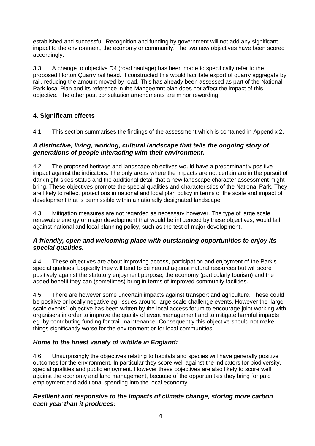established and successful. Recognition and funding by government will not add any significant impact to the environment, the economy or community. The two new objectives have been scored accordingly.

3.3 A change to objective D4 (road haulage) has been made to specifically refer to the proposed Horton Quarry rail head. If constructed this would facilitate export of quarry aggregate by rail, reducing the amount moved by road. This has already been assessed as part of the National Park local Plan and its reference in the Mangeemnt plan does not affect the impact of this objective. The other post consultation amendments are minor rewording.

### **4. Significant effects**

4.1 This section summarises the findings of the assessment which is contained in Appendix 2.

#### *A distinctive, living, working, cultural landscape that tells the ongoing story of generations of people interacting with their environment.*

4.2 The proposed heritage and landscape objectives would have a predominantly positive impact against the indicators. The only areas where the impacts are not certain are in the pursuit of dark night skies status and the additional detail that a new landscape character assessment might bring. These objectives promote the special qualities and characteristics of the National Park. They are likely to reflect protections in national and local plan policy in terms of the scale and impact of development that is permissible within a nationally designated landscape.

4.3 Mitigation measures are not regarded as necessary however. The type of large scale renewable energy or major development that would be influenced by these objectives, would fail against national and local planning policy, such as the test of major development.

#### *A friendly, open and welcoming place with outstanding opportunities to enjoy its special qualities.*

4.4 These objectives are about improving access, participation and enjoyment of the Park's special qualities. Logically they will tend to be neutral against natural resources but will score positively against the statutory enjoyment purpose, the economy (particularly tourism) and the added benefit they can (sometimes) bring in terms of improved community facilities.

4.5 There are however some uncertain impacts against transport and agriculture. These could be positive or locally negative eg. issues around large scale challenge events. However the 'large scale events' objective has been written by the local access forum to encourage joint working with organisers in order to improve the quality of event management and to mitigate harmful impacts eg. by contributing funding for trail maintenance. Consequently this objective should not make things significantly worse for the environment or for local communities.

### *Home to the finest variety of wildlife in England:*

4.6 Unsurprisingly the objectives relating to habitats and species will have generally positive outcomes for the environment. In particular they score well against the indicators for biodiversity, special qualities and public enjoyment. However these objectives are also likely to score well against the economy and land management, because of the opportunities they bring for paid employment and additional spending into the local economy.

#### *Resilient and responsive to the impacts of climate change, storing more carbon each year than it produces:*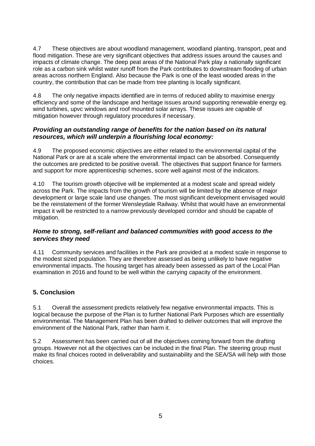4.7 These objectives are about woodland management, woodland planting, transport, peat and flood mitigation. These are very significant objectives that address issues around the causes and impacts of climate change. The deep peat areas of the National Park play a nationally significant role as a carbon sink whilst water runoff from the Park contributes to downstream flooding of urban areas across northern England. Also because the Park is one of the least wooded areas in the country, the contribution that can be made from tree planting is locally significant.

4.8 The only negative impacts identified are in terms of reduced ability to maximise energy efficiency and some of the landscape and heritage issues around supporting renewable energy eg. wind turbines, upvc windows and roof mounted solar arrays. These issues are capable of mitigation however through regulatory procedures if necessary.

#### *Providing an outstanding range of benefits for the nation based on its natural resources, which will underpin a flourishing local economy:*

4.9 The proposed economic objectives are either related to the environmental capital of the National Park or are at a scale where the environmental impact can be absorbed. Consequently the outcomes are predicted to be positive overall. The objectives that support finance for farmers and support for more apprenticeship schemes, score well against most of the indicators.

4.10 The tourism growth objective will be implemented at a modest scale and spread widely across the Park. The impacts from the growth of tourism will be limited by the absence of major development or large scale land use changes. The most significant development envisaged would be the reinstatement of the former Wensleydale Railway. Whilst that would have an environmental impact it will be restricted to a narrow previously developed corridor and should be capable of mitigation.

#### *Home to strong, self-reliant and balanced communities with good access to the services they need*

4.11 Community services and facilities in the Park are provided at a modest scale in response to the modest sized population. They are therefore assessed as being unlikely to have negative environmental impacts. The housing target has already been assessed as part of the Local Plan examination in 2016 and found to be well within the carrying capacity of the environment.

### **5. Conclusion**

5.1 Overall the assessment predicts relatively few negative environmental impacts. This is logical because the purpose of the Plan is to further National Park Purposes which are essentially environmental. The Management Plan has been drafted to deliver outcomes that will improve the environment of the National Park, rather than harm it.

5.2 Assessment has been carried out of all the objectives coming forward from the drafting groups. However not all the objectives can be included in the final Plan. The steering group must make its final choices rooted in deliverability and sustainability and the SEA/SA will help with those choices.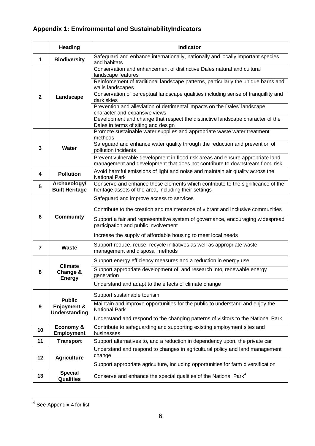# **Appendix 1: Environmental and SustainabilityIndicators**

|                | <b>Heading</b>                        | <b>Indicator</b>                                                                                                                         |
|----------------|---------------------------------------|------------------------------------------------------------------------------------------------------------------------------------------|
| $\mathbf 1$    | <b>Biodiversity</b>                   | Safeguard and enhance internationally, nationally and locally important species<br>and habitats                                          |
|                |                                       | Conservation and enhancement of distinctive Dales natural and cultural<br>landscape features                                             |
|                |                                       | Reinforcement of traditional landscape patterns, particularly the unique barns and                                                       |
|                |                                       | walls landscapes<br>Conservation of perceptual landscape qualities including sense of tranquillity and                                   |
| $\mathbf{2}$   | Landscape                             | dark skies                                                                                                                               |
|                |                                       | Prevention and alleviation of detrimental impacts on the Dales' landscape                                                                |
|                |                                       | character and expansive views<br>Development and change that respect the distinctive landscape character of the                          |
|                |                                       | Dales in terms of siting and design                                                                                                      |
|                |                                       | Promote sustainable water supplies and appropriate waste water treatment                                                                 |
|                |                                       | methods<br>Safeguard and enhance water quality through the reduction and prevention of                                                   |
| 3              | Water                                 | pollution incidents                                                                                                                      |
|                |                                       | Prevent vulnerable development in flood risk areas and ensure appropriate land                                                           |
|                |                                       | management and development that does not contribute to downstream flood risk                                                             |
| 4              | <b>Pollution</b>                      | Avoid harmful emissions of light and noise and maintain air quality across the<br><b>National Park</b>                                   |
| 5              | Archaeology/<br><b>Built Heritage</b> | Conserve and enhance those elements which contribute to the significance of the<br>heritage assets of the area, including their settings |
|                |                                       | Safeguard and improve access to services                                                                                                 |
|                |                                       |                                                                                                                                          |
| 6              | <b>Community</b>                      | Contribute to the creation and maintenance of vibrant and inclusive communities                                                          |
|                |                                       | Support a fair and representative system of governance, encouraging widespread<br>participation and public involvement                   |
|                |                                       | Increase the supply of affordable housing to meet local needs                                                                            |
| $\overline{7}$ | Waste                                 | Support reduce, reuse, recycle initiatives as well as appropriate waste<br>management and disposal methods                               |
|                | <b>Climate</b>                        | Support energy efficiency measures and a reduction in energy use                                                                         |
| 8              | Change &<br><b>Energy</b>             | Support appropriate development of, and research into, renewable energy<br>generation                                                    |
|                |                                       | Understand and adapt to the effects of climate change                                                                                    |
|                | <b>Public</b>                         | Support sustainable tourism                                                                                                              |
| 9              | Enjoyment &<br><b>Understanding</b>   | Maintain and improve opportunities for the public to understand and enjoy the<br><b>National Park</b>                                    |
|                |                                       | Understand and respond to the changing patterns of visitors to the National Park                                                         |
| 10             | <b>Economy &amp;</b><br>Employment    | Contribute to safeguarding and supporting existing employment sites and<br>businesses                                                    |
| 11             | <b>Transport</b>                      | Support alternatives to, and a reduction in dependency upon, the private car                                                             |
| 12             | <b>Agriculture</b>                    | Understand and respond to changes in agricultural policy and land management<br>change                                                   |
|                |                                       | Support appropriate agriculture, including opportunities for farm diversification                                                        |
| 13             | <b>Special</b><br><b>Qualities</b>    | Conserve and enhance the special qualities of the National Park <sup>4</sup>                                                             |

l  $4$  See Appendix 4 for list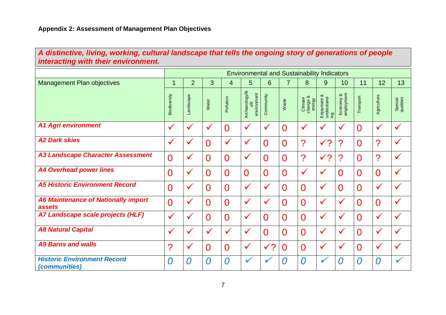## *A distinctive, living, working, cultural landscape that tells the ongoing story of generations of people interacting with their environment.*

|                                                            |                     |                |                |                | <b>Environmental and Sustainability Indicators</b> |                |                |                               |                                        |                         |                |                         |                      |
|------------------------------------------------------------|---------------------|----------------|----------------|----------------|----------------------------------------------------|----------------|----------------|-------------------------------|----------------------------------------|-------------------------|----------------|-------------------------|----------------------|
| <b>Management Plan objectives</b>                          | 1                   | $\overline{2}$ | 3              | 4              | $5\phantom{.}$                                     | 6              | $\overline{7}$ | 8                             | 9                                      | 10                      | 11             | 12                      | 13                   |
|                                                            | <b>Biodiversity</b> | Landscape      | Water          | Pollution      | Archaeology/B<br>environment<br>$\ddot{\equiv}$    | Community      | Waste          | Climate<br>change &<br>energy | య<br>Enjoyment &<br>understand-<br>ing | employment<br>Economy & | Transport      | Agriculture             | Special<br>qualities |
| <b>A1 Agri environment</b>                                 | $\checkmark$        | $\checkmark$   | $\checkmark$   | $\overline{0}$ | $\checkmark$                                       | $\checkmark$   | $\overline{0}$ | $\checkmark$                  | ✓                                      | $\checkmark$            | $\overline{0}$ | $\checkmark$            | $\sqrt{ }$           |
| <b>A2 Dark skies</b>                                       | $\checkmark$        | $\checkmark$   | $\overline{0}$ | $\checkmark$   | $\checkmark$                                       | $\Omega$       | $\overline{0}$ | ?                             | $\checkmark$ ?                         | ?                       | $\overline{0}$ | $\overline{\mathbf{?}}$ | $\checkmark$         |
| <b>A3 Landscape Character Assessment</b>                   | $\overline{0}$      | $\checkmark$   | $\overline{0}$ | $\overline{0}$ | $\checkmark$                                       | 0              | $\overline{0}$ | ?                             | $\checkmark$ ?                         | $\boldsymbol{?}$        | $\overline{0}$ | $\overline{\mathbf{?}}$ | $\checkmark$         |
| <b>A4 Overhead power lines</b>                             | $\overline{0}$      | $\checkmark$   | $\overline{0}$ | $\overline{0}$ | $\overline{0}$                                     | $\overline{0}$ | $\overline{0}$ | $\checkmark$                  | ✓                                      | $\overline{0}$          | $\overline{0}$ | $\overline{0}$          | $\checkmark$         |
| <b>A5 Historic Environment Record</b>                      | $\overline{0}$      | $\checkmark$   | $\overline{0}$ | $\overline{0}$ | $\checkmark$                                       | $\checkmark$   | 0              | $\overline{0}$                | ✓                                      | $\overline{0}$          | $\overline{0}$ | $\checkmark$            | $\checkmark$         |
| <b>A6 Maintenance of Nationally import</b><br>assets       | $\Omega$            | $\checkmark$   | $\overline{0}$ | $\overline{0}$ | $\checkmark$                                       | $\checkmark$   | $\overline{0}$ | $\overline{0}$                | $\checkmark$                           | $\checkmark$            | $\overline{0}$ | $\overline{0}$          | $\checkmark$         |
| A7 Landscape scale projects (HLF)                          | $\checkmark$        | $\checkmark$   | $\overline{0}$ | $\overline{0}$ | $\checkmark$                                       | 0              | $\overline{0}$ | $\overline{0}$                | ✓                                      |                         | $\overline{0}$ | $\checkmark$            | $\checkmark$         |
| <b>A8 Natural Capital</b>                                  | $\checkmark$        | $\checkmark$   | ✓              | $\checkmark$   | $\checkmark$                                       | $\Omega$       | 0              | $\overline{0}$                | ✓                                      | $\checkmark$            | $\Omega$       | $\checkmark$            | $\checkmark$         |
| <b>A9 Barns and walls</b>                                  | ?                   | $\checkmark$   | $\overline{0}$ | $\overline{0}$ | $\checkmark$                                       | ✔?             | 0              | $\overline{0}$                | ✓                                      | $\checkmark$            | $\Omega$       | $\checkmark$            | $\checkmark$         |
| <b>Historic Environment Record</b><br><i>(communities)</i> | $\Omega$            | $\bm{0}$       | 0              | $\overline{0}$ | V                                                  |                | 0              | $\Omega$                      | V                                      | O                       | 0              | $\bm{O}$                | $\checkmark$         |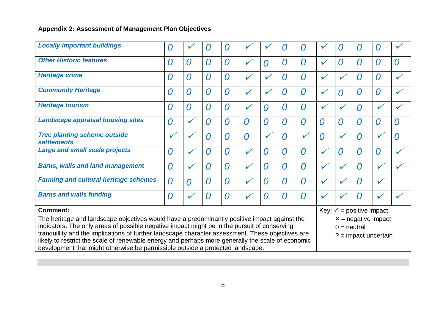| <b>Locally important buildings</b>                                                                                                                                                                                                                                                                                                                                                                                                                                                       | 0 |                | 0              | 0              | V              | ✔            | O              | O              |                | O                                   | 0              | 0                                               |              |
|------------------------------------------------------------------------------------------------------------------------------------------------------------------------------------------------------------------------------------------------------------------------------------------------------------------------------------------------------------------------------------------------------------------------------------------------------------------------------------------|---|----------------|----------------|----------------|----------------|--------------|----------------|----------------|----------------|-------------------------------------|----------------|-------------------------------------------------|--------------|
| <b>Other Historic features</b>                                                                                                                                                                                                                                                                                                                                                                                                                                                           | 0 | 0              | $\overline{0}$ | $\overline{O}$ | $\checkmark$   | 0            | 0              | $\overline{O}$ |                | $\Omega$                            | 0              | 0                                               | 0            |
| <b>Heritage crime</b>                                                                                                                                                                                                                                                                                                                                                                                                                                                                    | 0 | 0              | 0              | $\overline{O}$ | $\checkmark$   | $\checkmark$ | 0              | $\Omega$       | $\checkmark$   |                                     | 0              | 0                                               | ✓            |
| <b>Community Heritage</b>                                                                                                                                                                                                                                                                                                                                                                                                                                                                | 0 | $\overline{0}$ | $\overline{0}$ | $\overline{0}$ | $\checkmark$   | $\checkmark$ | $\overline{O}$ | $\overline{O}$ | $\checkmark$   | $\Omega$                            | $\overline{O}$ | 0                                               | $\checkmark$ |
| <b>Heritage tourism</b>                                                                                                                                                                                                                                                                                                                                                                                                                                                                  | 0 | $\overline{0}$ | $\bm{O}$       | $\overline{0}$ | $\checkmark$   | 0            | 0              | $\overline{0}$ |                |                                     | $\overline{0}$ |                                                 |              |
| <b>Landscape appraisal housing sites</b>                                                                                                                                                                                                                                                                                                                                                                                                                                                 | 0 |                | 0              | $\overline{O}$ | $\overline{0}$ | 0            | 0              | $\overline{0}$ | 0              | $\Omega$                            | $\overline{0}$ | 0                                               | 0            |
| <b>Tree planting scheme outside</b><br><b>settlements</b>                                                                                                                                                                                                                                                                                                                                                                                                                                |   |                | 0              | 0              | $\overline{0}$ | V            | 0              | $\checkmark$   | $\overline{0}$ |                                     | $\overline{O}$ |                                                 | 0            |
| <b>Large and small scale projects</b>                                                                                                                                                                                                                                                                                                                                                                                                                                                    | 0 |                | 0              | $\overline{O}$ | $\checkmark$   | 0            | $\overline{0}$ | $\overline{0}$ |                | $\Omega$                            | $\overline{0}$ | 0                                               |              |
| <b>Barns, walls and land management</b>                                                                                                                                                                                                                                                                                                                                                                                                                                                  | 0 |                | 0              | $\overline{O}$ | $\checkmark$   | 0            | 0              | $\overline{O}$ | V              |                                     | $\Omega$       |                                                 |              |
| <b>Farming and cultural heritage schemes</b>                                                                                                                                                                                                                                                                                                                                                                                                                                             | 0 | $\Omega$       | $\overline{O}$ | 0              | $\checkmark$   | 0            | $\overline{0}$ | $\overline{0}$ | $\checkmark$   |                                     | $\Omega$       | $\checkmark$                                    |              |
| <b>Barns and walls funding</b>                                                                                                                                                                                                                                                                                                                                                                                                                                                           | 0 |                | 0              | $\overline{O}$ | $\checkmark$   | 0            | 0              | $\Omega$       |                |                                     | Ω              |                                                 |              |
| <b>Comment:</b>                                                                                                                                                                                                                                                                                                                                                                                                                                                                          |   |                |                |                |                |              |                |                |                | Key: $\checkmark$ = positive impact |                |                                                 |              |
| The heritage and landscape objectives would have a predominantly positive impact against the<br>indicators. The only areas of possible negative impact might be in the pursuit of conserving<br>tranquillity and the implications of further landscape character assessment. These objectives are<br>likely to restrict the scale of renewable energy and perhaps more generally the scale of economic<br>development that might otherwise be permissible outside a protected landscape. |   |                |                |                |                |              |                |                |                | $0 =$ neutral                       |                | $x =$ negative impact<br>$? =$ impact uncertain |              |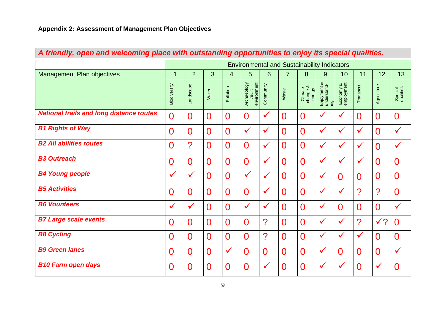| A friendly, open and welcoming place with outstanding opportunities to enjoy its special qualities. |                |                          |                |                |                                                    |                |                |                               |                                   |                         |                          |                          |                      |
|-----------------------------------------------------------------------------------------------------|----------------|--------------------------|----------------|----------------|----------------------------------------------------|----------------|----------------|-------------------------------|-----------------------------------|-------------------------|--------------------------|--------------------------|----------------------|
|                                                                                                     |                |                          |                |                | <b>Environmental and Sustainability Indicators</b> |                |                |                               |                                   |                         |                          |                          |                      |
| <b>Management Plan objectives</b>                                                                   | 1              | $\overline{2}$           | 3              | $\overline{4}$ | 5                                                  | 6              | $\overline{7}$ | 8                             | 9                                 | 10                      | 11                       | 12                       | 13                   |
|                                                                                                     | Biodiversity   | Landscape                | Water          | Pollution      | environment<br>Archaeology<br>/Built               | Community      | Waste          | Climate<br>change &<br>energy | Enjoyment &<br>understand-<br>gui | Economy &<br>employment | Transport                | Agriculture              | Special<br>qualities |
| <b>National trails and long distance routes</b>                                                     | $\overline{0}$ | $\overline{0}$           | $\overline{0}$ | $\overline{0}$ | $\overline{0}$                                     | $\checkmark$   | $\overline{0}$ | $\overline{0}$                | $\checkmark$                      | $\checkmark$            | $\overline{0}$           | $\overline{0}$           | $\overline{0}$       |
| <b>B1 Rights of Way</b>                                                                             | $\overline{0}$ | $\overline{0}$           | $\overline{0}$ | $\overline{0}$ | $\checkmark$                                       | $\checkmark$   | $\overline{0}$ | $\overline{0}$                | $\checkmark$                      | $\checkmark$            | $\checkmark$             | $\overline{0}$           | $\checkmark$         |
| <b>B2 All abilities routes</b>                                                                      | $\overline{0}$ | $\overline{\mathcal{C}}$ | $\overline{0}$ | $\overline{0}$ | $\overline{0}$                                     | $\checkmark$   | $\overline{0}$ | $\overline{0}$                | $\checkmark$                      | $\checkmark$            | $\checkmark$             | $\overline{0}$           | $\checkmark$         |
| <b>B3 Outreach</b>                                                                                  | $\overline{0}$ | $\overline{0}$           | $\overline{0}$ | $\overline{0}$ | $\overline{0}$                                     | $\checkmark$   | $\overline{0}$ | $\overline{0}$                | $\checkmark$                      | $\checkmark$            | $\checkmark$             | $\overline{0}$           | $\overline{0}$       |
| <b>B4 Young people</b>                                                                              | $\checkmark$   | $\checkmark$             | $\overline{0}$ | $\overline{0}$ | $\checkmark$                                       | $\checkmark$   | $\overline{0}$ | $\overline{0}$                | $\checkmark$                      | $\overline{0}$          | $\overline{0}$           | $\overline{0}$           | $\overline{0}$       |
| <b>B5 Activities</b>                                                                                | $\overline{0}$ | 0                        | $\overline{0}$ | $\overline{0}$ | $\overline{0}$                                     | $\checkmark$   | $\overline{0}$ | $\overline{0}$                | $\checkmark$                      | $\checkmark$            | $\overline{\mathcal{C}}$ | $\overline{\mathcal{C}}$ | $\overline{0}$       |
| <b>B6 Vounteers</b>                                                                                 | $\checkmark$   | $\checkmark$             | $\overline{0}$ | $\overline{0}$ | $\checkmark$                                       | $\checkmark$   | $\overline{0}$ | $\overline{0}$                | $\checkmark$                      | $\overline{0}$          | $\overline{0}$           | $\overline{0}$           | $\checkmark$         |
| <b>B7 Large scale events</b>                                                                        | $\overline{0}$ | 0                        | $\overline{0}$ | $\overline{0}$ | $\overline{0}$                                     | ?              | $\overline{0}$ | $\overline{0}$                | $\checkmark$                      | $\checkmark$            | $\overline{\mathcal{C}}$ | $\sqrt{?}$               | $\overline{0}$       |
| <b>B8 Cycling</b>                                                                                   | $\overline{0}$ | $\overline{0}$           | $\overline{0}$ | $\overline{0}$ | $\overline{0}$                                     | ?              | $\overline{0}$ | 0                             | $\checkmark$                      | $\checkmark$            | $\checkmark$             | $\overline{0}$           | $\overline{0}$       |
| <b>B9 Green lanes</b>                                                                               | 0              | $\overline{0}$           | $\overline{0}$ | $\checkmark$   | $\overline{0}$                                     | $\overline{0}$ | $\Omega$       | $\overline{0}$                | $\checkmark$                      | $\overline{0}$          | $\overline{0}$           | $\overline{0}$           | $\checkmark$         |
| <b>B10 Farm open days</b>                                                                           | $\overline{0}$ | 0                        | $\overline{0}$ | 0              | $\overline{0}$                                     | $\checkmark$   | $\overline{0}$ | 0                             | $\checkmark$                      | ✔                       | $\overline{0}$           | $\checkmark$             | $\overline{0}$       |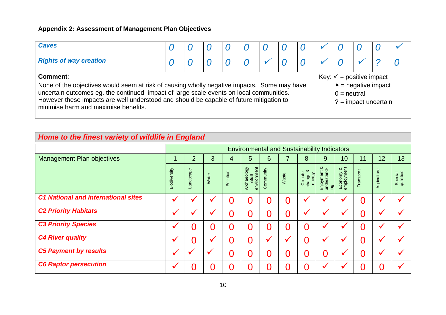| <b>Caves</b>                                                                                                                                                                                                                                                                                                                          |  |  |  |  |                                                                                                         |  |  |
|---------------------------------------------------------------------------------------------------------------------------------------------------------------------------------------------------------------------------------------------------------------------------------------------------------------------------------------|--|--|--|--|---------------------------------------------------------------------------------------------------------|--|--|
| <b>Rights of way creation</b>                                                                                                                                                                                                                                                                                                         |  |  |  |  |                                                                                                         |  |  |
| Comment:<br>None of the objectives would seem at risk of causing wholly negative impacts. Some may have<br>uncertain outcomes eg. the continued impact of large scale events on local communities.<br>However these impacts are well understood and should be capable of future mitigation to<br>minimise harm and maximise benefits. |  |  |  |  | Key: $\checkmark$ = positive impact<br>$x$ = negative impact<br>$0 =$ neutral<br>$? = impact$ uncertain |  |  |

# *Home to the finest variety of wildlife in England*

|                                            |              |                |              |           |                                      |                |       | <b>Environmental and Sustainability Indicators</b> |                                               |                            |           |              |                      |
|--------------------------------------------|--------------|----------------|--------------|-----------|--------------------------------------|----------------|-------|----------------------------------------------------|-----------------------------------------------|----------------------------|-----------|--------------|----------------------|
| <b>Management Plan objectives</b>          |              | $\overline{2}$ | 3            | 4         | 5                                    | 6              |       | 8                                                  | 9                                             | 10                         | 11        | 12           | 13                   |
|                                            | Biodiversity | Landscape      | Water        | Pollution | environment<br>Archaeology<br>/Built | Community      | Waste | య<br>Climate<br>change 8<br>energy                 | య<br>Enjoyment &<br>understand-<br><b>Dai</b> | amployment<br>య<br>Economy | Transport | Agriculture  | Special<br>qualities |
| <b>C1 National and international sites</b> | J            |                |              | 0         | 0                                    | $\overline{0}$ | 0     |                                                    |                                               |                            |           | $\checkmark$ |                      |
| <b>C2 Priority Habitats</b>                | $\checkmark$ |                |              |           | 0                                    | O              | 0     | $\checkmark$                                       |                                               |                            |           | $\checkmark$ |                      |
| <b>C3 Priority Species</b>                 |              | 0              |              |           | $\Omega$                             | 0              | 0     | D                                                  |                                               |                            |           |              |                      |
| <b>C4 River quality</b>                    |              | O              |              |           | 0                                    |                |       |                                                    |                                               |                            |           |              |                      |
| <b>C5 Payment by results</b>               |              |                | $\checkmark$ | 0         | 0                                    | $\Omega$       | 0     | Ŋ                                                  | 0                                             |                            |           | $\checkmark$ |                      |
| <b>C6 Raptor persecution</b>               | ✔            |                |              |           |                                      | Ω              | 0     |                                                    |                                               |                            |           |              |                      |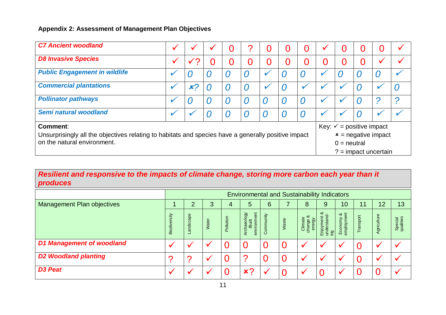| <b>C7 Ancient woodland</b>                                                                          |    |    | 0 |                  | 0 | O            | O   | D                                   |   |                        |   |
|-----------------------------------------------------------------------------------------------------|----|----|---|------------------|---|--------------|-----|-------------------------------------|---|------------------------|---|
| <b>D8 Invasive Species</b>                                                                          |    | O) | 0 | IJ               | 0 | $\mathbf{O}$ | O   |                                     |   |                        |   |
| <b>Public Engagement in wildlife</b>                                                                |    |    | U | $\boldsymbol{O}$ |   | U            | O)  |                                     | L |                        |   |
| <b>Commercial plantations</b>                                                                       | x2 |    |   | $\bm{0}$         |   |              |     |                                     |   |                        |   |
| <b>Pollinator pathways</b>                                                                          |    |    | U | O                |   | U            |     |                                     |   |                        | D |
| Semi natural woodland                                                                               |    |    | U | $\boldsymbol{O}$ |   | U            | ( ) |                                     |   |                        |   |
| <b>Comment:</b>                                                                                     |    |    |   |                  |   |              |     | Key: $\checkmark$ = positive impact |   |                        |   |
| Unsurprisingly all the objectives relating to habitats and species have a generally positive impact |    |    |   |                  |   |              |     |                                     |   | $x$ = negative impact  |   |
| on the natural environment.                                                                         |    |    |   |                  |   |              |     | $0 =$ neutral                       |   |                        |   |
|                                                                                                     |    |    |   |                  |   |              |     |                                     |   | $? =$ impact uncertain |   |

## *Resilient and responsive to the impacts of climate change, storing more carbon each year than it produces*

|                                   |                         |          |       |                | <b>Environmental and Sustainability Indicators</b> |          |       |                               |                                        |                                            |          |             |                             |
|-----------------------------------|-------------------------|----------|-------|----------------|----------------------------------------------------|----------|-------|-------------------------------|----------------------------------------|--------------------------------------------|----------|-------------|-----------------------------|
| <b>Management Plan objectives</b> |                         | 2        | 3     | 4              | 5                                                  | 6        |       | 8                             | 9                                      | 10 <sup>°</sup>                            | 11       | 12          | 13                          |
|                                   | ersity<br><b>Biodiv</b> | andscape | Water | Pollution      | environment<br>Archaeology<br>/Built               | ommunity | Waste | Climate<br>change &<br>energy | య<br>Enjoyment &<br>understand-<br>ing | $\approx$ $\approx$<br>Economy<br>employme | Transpor | Agriculture | <b>Special</b><br>qualities |
| <b>D1 Management of woodland</b>  |                         |          |       | $\Omega$       |                                                    |          | 0     |                               |                                        |                                            |          |             |                             |
| <b>D2 Woodland planting</b>       | ◠                       | C        |       | $\Omega$       |                                                    |          | 0     |                               |                                        |                                            |          |             |                             |
| <b>D3 Peat</b>                    |                         |          |       | $\overline{0}$ | x <sub>2</sub>                                     |          | 0     |                               |                                        |                                            |          |             |                             |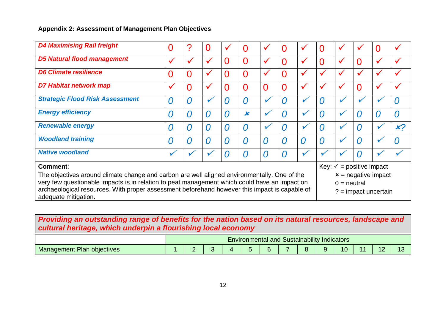| <b>D4 Maximising Rail freight</b>                                                                                     |              | 7              | $\overline{0}$ | ✓              |                           |              | 0        | $\checkmark$ |   |                                     | $\checkmark$   | 0                      |                |
|-----------------------------------------------------------------------------------------------------------------------|--------------|----------------|----------------|----------------|---------------------------|--------------|----------|--------------|---|-------------------------------------|----------------|------------------------|----------------|
| <b>D5 Natural flood management</b>                                                                                    | $\checkmark$ | $\checkmark$   | $\checkmark$   | $\overline{0}$ | $\Omega$                  | $\checkmark$ | 0        | $\checkmark$ |   | ✔                                   | $\overline{0}$ | $\checkmark$           |                |
| <b>D6 Climate resilience</b>                                                                                          | 0            | $\overline{0}$ | $\checkmark$   | 0              | $\Omega$                  |              | 0        | $\checkmark$ |   |                                     | $\checkmark$   | $\checkmark$           |                |
| <b>D7 Habitat network map</b>                                                                                         | $\checkmark$ | $\Omega$       | $\checkmark$   | $\overline{0}$ | $\Omega$                  |              | 0        | $\checkmark$ |   |                                     | $\Omega$       |                        |                |
| <b>Strategic Flood Risk Assessment</b>                                                                                | O            |                | v              | 0              | Ω                         |              | $\Omega$ |              | 0 |                                     |                |                        | ו              |
| <b>Energy efficiency</b>                                                                                              | O            | $\Omega$       | O              | $\Omega$       | $\boldsymbol{\mathsf{x}}$ |              | $\Omega$ |              | 7 |                                     | U              | O                      | ( )            |
| <b>Renewable energy</b>                                                                                               | 0            | $\Omega$       | 0              | $\Omega$       | O                         | V            | $\Omega$ |              | 0 |                                     | O              |                        | x <sub>2</sub> |
| <b>Woodland training</b>                                                                                              | 0            | $\Omega$       | 0              | 0              | Ω                         | ( )          | $\Omega$ | $\Omega$     | 0 |                                     | 0              |                        | ו              |
| <b>Native woodland</b>                                                                                                | V            |                |                |                | O                         | O            | $\Omega$ |              |   |                                     |                |                        |                |
| <b>Comment:</b>                                                                                                       |              |                |                |                |                           |              |          |              |   | Key: $\checkmark$ = positive impact |                |                        |                |
| The objectives around climate change and carbon are well aligned environmentally. One of the                          |              |                |                |                |                           |              |          |              |   |                                     |                | $x =$ negative impact  |                |
| very few questionable impacts is in relation to peat management which could have an impact on                         |              |                |                |                |                           |              |          |              |   | $0 =$ neutral                       |                |                        |                |
| archaeological resources. With proper assessment beforehand however this impact is capable of<br>adequate mitigation. |              |                |                |                |                           |              |          |              |   |                                     |                | $? =$ impact uncertain |                |

## *Providing an outstanding range of benefits for the nation based on its natural resources, landscape and cultural heritage, which underpin a flourishing local economy*

|                                      |    |  | Environmental and Sustainability | . | <b>Indicators</b> |  |    |
|--------------------------------------|----|--|----------------------------------|---|-------------------|--|----|
| <b>Plan objectives</b><br>Management | -- |  |                                  |   | 10                |  | '' |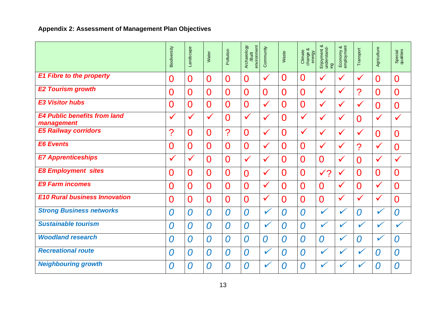|                                                   | Biodiversity          | Landscape      | Water            | Pollution      | Archaeology<br>environment<br>/Built | Community      | Waste          | change &<br>energy<br>Climate | ∞<br>Enjoyment &<br>understand-<br>ing | Economy &<br>employment | Transport      | Agriculture    | Special<br>qualities |
|---------------------------------------------------|-----------------------|----------------|------------------|----------------|--------------------------------------|----------------|----------------|-------------------------------|----------------------------------------|-------------------------|----------------|----------------|----------------------|
| <b>E1 Fibre to the property</b>                   | $\overline{0}$        | $\overline{0}$ | $\overline{0}$   | $\overline{0}$ | $\overline{0}$                       | $\checkmark$   | $\overline{0}$ | $\overline{0}$                | $\checkmark$                           | $\checkmark$            | $\checkmark$   | $\overline{0}$ | $\overline{0}$       |
| <b>E2 Tourism growth</b>                          | $\overline{0}$        | $\overline{0}$ | $\overline{0}$   | $\overline{0}$ | $\overline{0}$                       | $\overline{0}$ | $\overline{0}$ | $\overline{0}$                | $\checkmark$                           | ✔                       | ?              | $\overline{0}$ | $\overline{0}$       |
| <b>E3 Visitor hubs</b>                            | $\overline{0}$        | $\overline{0}$ | $\overline{0}$   | $\overline{0}$ | $\overline{0}$                       | $\checkmark$   | $\overline{0}$ | $\overline{0}$                | $\checkmark$                           | $\checkmark$            | $\checkmark$   | $\overline{0}$ | $\overline{0}$       |
| <b>E4 Public benefits from land</b><br>management | $\checkmark$          | $\checkmark$   | $\checkmark$     | Ō              | $\checkmark$                         | $\checkmark$   | $\overline{0}$ | $\checkmark$                  | $\checkmark$                           | $\checkmark$            | $\Omega$       | $\checkmark$   | $\checkmark$         |
| <b>E5 Railway corridors</b>                       | $\boldsymbol{\gamma}$ | $\overline{0}$ | $\overline{0}$   | $\overline{?}$ | $\overline{0}$                       | $\checkmark$   | $\overline{0}$ | $\checkmark$                  | $\checkmark$                           | $\checkmark$            | $\checkmark$   | $\overline{0}$ | $\overline{0}$       |
| <b>E6 Events</b>                                  | $\overline{0}$        | $\Omega$       | $\overline{0}$   | $\overline{0}$ | $\overline{0}$                       | $\checkmark$   | $\Omega$       | $\overline{0}$                | $\checkmark$                           | $\checkmark$            | ?              | $\checkmark$   | $\overline{0}$       |
| <b>E7 Apprenticeships</b>                         | $\checkmark$          | $\checkmark$   | $\overline{0}$   | $\overline{0}$ | $\checkmark$                         | $\checkmark$   | $\Omega$       | $\overline{0}$                | $\overline{0}$                         | $\checkmark$            | $\overline{0}$ | $\checkmark$   | $\checkmark$         |
| <b>E8 Employment sites</b>                        | $\overline{0}$        | $\overline{0}$ | $\overline{0}$   | $\overline{0}$ | $\overline{0}$                       | $\checkmark$   | $\overline{0}$ | $\overline{0}$                | $\checkmark$ ?                         | ✔                       | $\overline{0}$ | $\overline{0}$ | $\overline{0}$       |
| <b>E9 Farm incomes</b>                            | $\overline{0}$        | $\Omega$       | $\overline{0}$   | $\overline{0}$ | $\overline{0}$                       | $\checkmark$   | $\Omega$       | $\overline{0}$                | $\Omega$                               | $\checkmark$            | $\Omega$       | $\checkmark$   | $\Omega$             |
| <b>E10 Rural business Innovation</b>              | $\overline{0}$        | $\overline{0}$ | $\overline{0}$   | $\overline{0}$ | $\overline{0}$                       | $\checkmark$   | $\overline{0}$ | $\overline{0}$                | $\overline{0}$                         | $\checkmark$            | $\checkmark$   | $\checkmark$   | $\overline{0}$       |
| <b>Strong Business networks</b>                   | 0                     | 0              | 0                | 0              | 0                                    | $\checkmark$   | 0              | $\overline{0}$                | $\checkmark$                           | $\checkmark$            | 0              | $\mathbf{v}$   | 0                    |
| <b>Sustainable tourism</b>                        | 0                     | $\overline{0}$ | $\bm{0}$         | 0              | 0                                    | $\checkmark$   | 0              | $\overline{0}$                | ✔                                      |                         | $\checkmark$   | $\checkmark$   | $\checkmark$         |
| <b>Woodland research</b>                          | 0                     | 0              | $\overline{0}$   | $\overline{0}$ | 0                                    | $\overline{0}$ | $\overline{0}$ | $\overline{0}$                | 0                                      | $\mathbf{v}$            | 0              | V              | 0                    |
| <b>Recreational route</b>                         | 0                     | 0              | $\boldsymbol{O}$ | 0              | 0                                    | $\checkmark$   | 0              | $\Omega$                      | $\checkmark$                           | ✓                       | $\checkmark$   | $\bm{0}$       | 0                    |
| <b>Neighbouring growth</b>                        | $\overline{O}$        | $\Omega$       | $\overline{0}$   | $\overline{0}$ | 0                                    | $\checkmark$   | 0              | $\overline{O}$                | ✓                                      |                         | V              | $\overline{O}$ | $\overline{O}$       |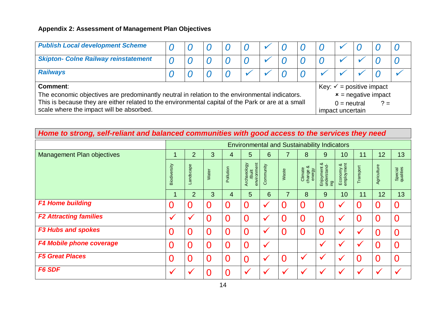| <b>Publish Local development Scheme</b>                                                                                                                                                              |  |  |  |  |  |  |  |  |  |                                        |  |       |  |  |
|------------------------------------------------------------------------------------------------------------------------------------------------------------------------------------------------------|--|--|--|--|--|--|--|--|--|----------------------------------------|--|-------|--|--|
| <b>Skipton- Colne Railway reinstatement</b>                                                                                                                                                          |  |  |  |  |  |  |  |  |  |                                        |  |       |  |  |
| <b>Railways</b>                                                                                                                                                                                      |  |  |  |  |  |  |  |  |  |                                        |  |       |  |  |
| Key: $\checkmark$ = positive impact<br>Comment:                                                                                                                                                      |  |  |  |  |  |  |  |  |  |                                        |  |       |  |  |
| The economic objectives are predominantly neutral in relation to the environmental indicators.<br>This is because they are either related to the environmental capital of the Park or are at a small |  |  |  |  |  |  |  |  |  | $x$ = negative impact<br>$0 =$ neutral |  | $? =$ |  |  |
| scale where the impact will be absorbed.                                                                                                                                                             |  |  |  |  |  |  |  |  |  | impact uncertain                       |  |       |  |  |

# *Home to strong, self-reliant and balanced communities with good access to the services they need*

|                                   | <b>Environmental and Sustainability Indicators</b> |                |                |                |                                      |                |                |                                    |                                        |                            |                |                |                      |
|-----------------------------------|----------------------------------------------------|----------------|----------------|----------------|--------------------------------------|----------------|----------------|------------------------------------|----------------------------------------|----------------------------|----------------|----------------|----------------------|
| <b>Management Plan objectives</b> |                                                    | $\overline{2}$ | 3              | 4              | 5                                    | 6              | 7              | 8                                  | 9                                      | 10                         | 11             | 12             | 13                   |
|                                   | Biodiversity                                       | Landscape      | Water          | Pollution      | environment<br>Archaeology<br>/Built | Community      | Waste          | య<br>Climate<br>change &<br>energy | య<br>Enjoyment &<br>understand-<br>ing | imployment<br>య<br>Economy | Transport      | Agriculture    | Special<br>qualities |
|                                   |                                                    | $\overline{2}$ | 3              | 4              | 5                                    | $6\phantom{1}$ | $\overline{7}$ | 8                                  | $9^{\circ}$                            | 10                         | 11             | 12             | 13                   |
| <b>F1 Home building</b>           | 0                                                  |                | 0              | $\overline{0}$ | 0                                    | $\checkmark$   | 0              | $\Omega$                           |                                        | $\overline{\phantom{a}}$   | $\overline{0}$ | $\overline{0}$ |                      |
| <b>F2 Attracting families</b>     |                                                    |                | 0              | $\overline{0}$ | 0                                    | $\checkmark$   | 0              | $\Omega$                           |                                        | $\checkmark$               | $\overline{0}$ | $\overline{0}$ | 0                    |
| <b>F3 Hubs and spokes</b>         | 0                                                  |                | 0              | $\overline{0}$ | 0                                    | $\checkmark$   | 0              | $\Omega$                           |                                        |                            |                | $\overline{0}$ |                      |
| F4 Mobile phone coverage          | 0                                                  |                | 0              | $\overline{0}$ | 0                                    | $\checkmark$   |                |                                    | $\cdot$                                |                            | $\checkmark$   | $\Omega$       |                      |
| <b>F5 Great Places</b>            | 0                                                  |                | $\overline{0}$ | $\overline{0}$ | 0                                    | $\checkmark$   | 0              |                                    |                                        | $\cdot$                    | $\overline{0}$ | $\overline{0}$ | $\Omega$             |
| <b>F6 SDF</b>                     | $\checkmark$                                       |                | 0              | $\overline{0}$ | $\checkmark$                         |                |                |                                    |                                        |                            | $\checkmark$   | $\checkmark$   |                      |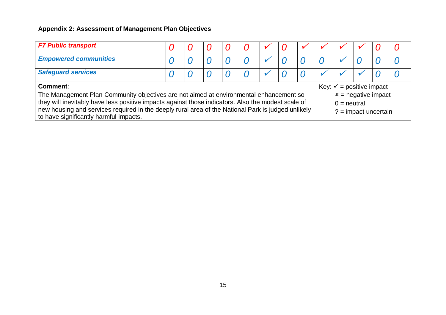| <b>F7 Public transport</b>                                                                                                                                                                                                                                                                                                                                      |  |  |  |  |  |  |  |  |                                                                                                         |  |  |  |  |  |
|-----------------------------------------------------------------------------------------------------------------------------------------------------------------------------------------------------------------------------------------------------------------------------------------------------------------------------------------------------------------|--|--|--|--|--|--|--|--|---------------------------------------------------------------------------------------------------------|--|--|--|--|--|
| <b>Empowered communities</b>                                                                                                                                                                                                                                                                                                                                    |  |  |  |  |  |  |  |  |                                                                                                         |  |  |  |  |  |
| <b>Safeguard services</b>                                                                                                                                                                                                                                                                                                                                       |  |  |  |  |  |  |  |  |                                                                                                         |  |  |  |  |  |
| <b>Comment:</b><br>The Management Plan Community objectives are not aimed at environmental enhancement so<br>they will inevitably have less positive impacts against those indicators. Also the modest scale of<br>new housing and services required in the deeply rural area of the National Park is judged unlikely<br>to have significantly harmful impacts. |  |  |  |  |  |  |  |  | Key: $\checkmark$ = positive impact<br>$x$ = negative impact<br>$0 =$ neutral<br>$? = impact$ uncertain |  |  |  |  |  |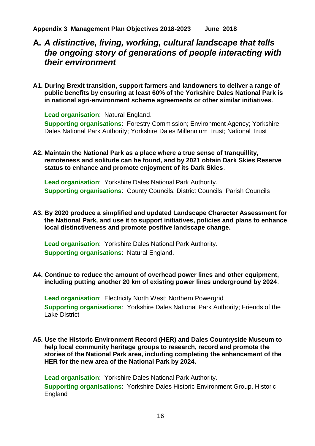# **A.** *A distinctive, living, working, cultural landscape that tells the ongoing story of generations of people interacting with their environment*

**A1. During Brexit transition, support farmers and landowners to deliver a range of public benefits by ensuring at least 60% of the Yorkshire Dales National Park is in national agri-environment scheme agreements or other similar initiatives**.

**Lead organisation**: Natural England. **Supporting organisations**: Forestry Commission; Environment Agency; Yorkshire Dales National Park Authority; Yorkshire Dales Millennium Trust; National Trust

**A2. Maintain the National Park as a place where a true sense of tranquillity, remoteness and solitude can be found, and by 2021 obtain Dark Skies Reserve status to enhance and promote enjoyment of its Dark Skies**.

**Lead organisation**: Yorkshire Dales National Park Authority. **Supporting organisations**: County Councils; District Councils; Parish Councils

**A3. By 2020 produce a simplified and updated Landscape Character Assessment for the National Park, and use it to support initiatives, policies and plans to enhance local distinctiveness and promote positive landscape change.**

**Lead organisation**: Yorkshire Dales National Park Authority. **Supporting organisations**: Natural England.

#### **A4. Continue to reduce the amount of overhead power lines and other equipment, including putting another 20 km of existing power lines underground by 2024**.

**Lead organisation**: Electricity North West; Northern Powergrid **Supporting organisations**: Yorkshire Dales National Park Authority; Friends of the Lake District

**A5. Use the Historic Environment Record (HER) and Dales Countryside Museum to help local community heritage groups to research, record and promote the stories of the National Park area, including completing the enhancement of the HER for the new area of the National Park by 2024.** 

**Lead organisation**: Yorkshire Dales National Park Authority. **Supporting organisations**: Yorkshire Dales Historic Environment Group, Historic England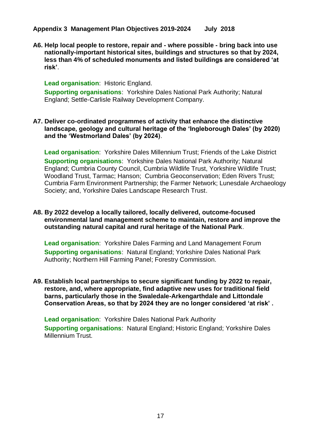**A6. Help local people to restore, repair and - where possible - bring back into use nationally-important historical sites, buildings and structures so that by 2024, less than 4% of scheduled monuments and listed buildings are considered 'at risk'**.

#### **Lead organisation**: Historic England.

**Supporting organisations**: Yorkshire Dales National Park Authority; Natural England; Settle-Carlisle Railway Development Company.

#### <span id="page-17-0"></span>**A7. Deliver co-ordinated programmes of activity that enhance the distinctive landscape, geology and cultural heritage of the 'Ingleborough Dales' (by 2020) and the 'Westmorland Dales' (by 2024)**.

**Lead organisation**: Yorkshire Dales Millennium Trust; Friends of the Lake District **Supporting organisations**: Yorkshire Dales National Park Authority; Natural England; Cumbria County Council, Cumbria Wildlife Trust, Yorkshire Wildlife Trust; Woodland Trust, Tarmac; Hanson; Cumbria Geoconservation; Eden Rivers Trust; Cumbria Farm Environment Partnership; the Farmer Network; Lunesdale Archaeology Society; and, Yorkshire Dales Landscape Research Trust.

#### <span id="page-17-1"></span>**A8. By 2022 develop a locally tailored, locally delivered, outcome-focused environmental land management scheme to maintain, restore and improve the outstanding natural capital and rural heritage of the National Park**.

**Lead organisation**: Yorkshire Dales Farming and Land Management Forum **Supporting organisations**: Natural England; Yorkshire Dales National Park Authority; Northern Hill Farming Panel; Forestry Commission.

<span id="page-17-2"></span>**A9. Establish local partnerships to secure significant funding by 2022 to repair, restore, and, where appropriate, find adaptive new uses for traditional field barns, particularly those in the Swaledale-Arkengarthdale and Littondale Conservation Areas, so that by 2024 they are no longer considered 'at risk' .**

**Lead organisation**: Yorkshire Dales National Park Authority **Supporting organisations**: Natural England; Historic England; Yorkshire Dales Millennium Trust.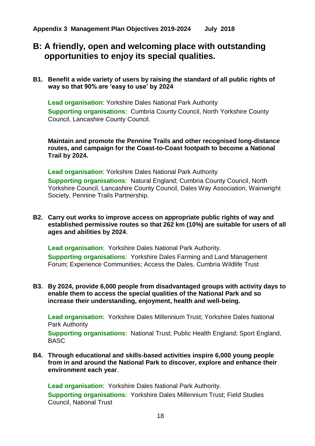# **B: A friendly, open and welcoming place with outstanding opportunities to enjoy its special qualities.**

**B1. Benefit a wide variety of users by raising the standard of all public rights of way so that 90% are 'easy to use' by 2024**

**Lead organisation**: Yorkshire Dales National Park Authority **Supporting organisations**: Cumbria County Council, North Yorkshire County Council, Lancashire County Council.

**Maintain and promote the Pennine Trails and other recognised long-distance routes, and campaign for the Coast-to-Coast footpath to become a National Trail by 2024.**

**Lead organisation**: Yorkshire Dales National Park Authority **Supporting organisations**: Natural England; Cumbria County Council, North Yorkshire Council, Lancashire County Council, Dales Way Association, Wainwright Society, Pennine Trails Partnership.

**B2. Carry out works to improve access on appropriate public rights of way and established permissive routes so that 262 km (10%) are suitable for users of all ages and abilities by 2024**.

**Lead organisation**: Yorkshire Dales National Park Authority. **Supporting organisations**: Yorkshire Dales Farming and Land Management Forum; Experience Communities; Access the Dales, Cumbria Wildlife Trust

**B3. By 2024, provide 6,000 people from disadvantaged groups with activity days to enable them to access the special qualities of the National Park and so increase their understanding, enjoyment, health and well-being.** 

**Lead organisation**: Yorkshire Dales Millennium Trust; Yorkshire Dales National Park Authority

**Supporting organisations**: National Trust; Public Health England; Sport England, BASC

<span id="page-18-0"></span>**B4. Through educational and skills-based activities inspire 6,000 young people from in and around the National Park to discover, explore and enhance their environment each year**.

**Lead organisation**: Yorkshire Dales National Park Authority. **Supporting organisations**: Yorkshire Dales Millennium Trust; Field Studies Council, National Trust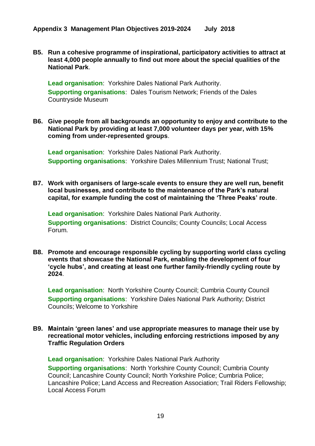**B5. Run a cohesive programme of inspirational, participatory activities to attract at least 4,000 people annually to find out more about the special qualities of the National Park**.

**Lead organisation**: Yorkshire Dales National Park Authority. **Supporting organisations**: Dales Tourism Network; Friends of the Dales Countryside Museum

**B6. Give people from all backgrounds an opportunity to enjoy and contribute to the National Park by providing at least 7,000 volunteer days per year, with 15% coming from under-represented groups**.

**Lead organisation**: Yorkshire Dales National Park Authority. **Supporting organisations**: Yorkshire Dales Millennium Trust; National Trust;

**B7. Work with organisers of large-scale events to ensure they are well run, benefit local businesses, and contribute to the maintenance of the Park's natural capital, for example funding the cost of maintaining the 'Three Peaks' route**.

**Lead organisation**: Yorkshire Dales National Park Authority. **Supporting organisations**: District Councils; County Councils; Local Access Forum.

**B8. Promote and encourage responsible cycling by supporting world class cycling events that showcase the National Park, enabling the development of four 'cycle hubs', and creating at least one further family-friendly cycling route by 2024**.

**Lead organisation**: North Yorkshire County Council; Cumbria County Council **Supporting organisations**: Yorkshire Dales National Park Authority; District Councils; Welcome to Yorkshire

#### **B9. Maintain 'green lanes' and use appropriate measures to manage their use by recreational motor vehicles, including enforcing restrictions imposed by any Traffic Regulation Orders**

**Lead organisation**: Yorkshire Dales National Park Authority **Supporting organisations**: North Yorkshire County Council; Cumbria County Council; Lancashire County Council; North Yorkshire Police; Cumbria Police; Lancashire Police; Land Access and Recreation Association; Trail Riders Fellowship; Local Access Forum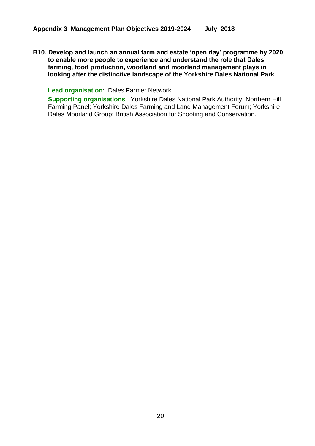**B10. Develop and launch an annual farm and estate 'open day' programme by 2020, to enable more people to experience and understand the role that Dales' farming, food production, woodland and moorland management plays in looking after the distinctive landscape of the Yorkshire Dales National Park**.

**Lead organisation**: Dales Farmer Network

**Supporting organisations**: Yorkshire Dales National Park Authority; Northern Hill Farming Panel; Yorkshire Dales Farming and Land Management Forum; Yorkshire Dales Moorland Group; British Association for Shooting and Conservation.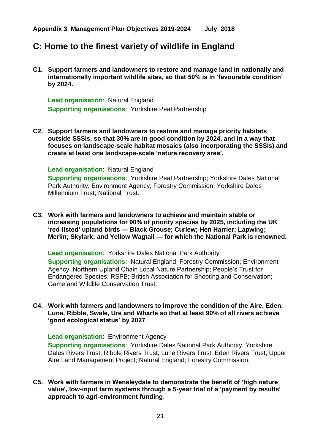# **C: Home to the finest variety of wildlife in England**

**C1. Support farmers and landowners to restore and manage land in nationally and internationally important wildlife sites, so that 50% is in 'favourable condition' by 2024.**

**Lead organisation**: Natural England. **Supporting organisations**: Yorkshire Peat Partnership

**C2. Support farmers and landowners to restore and manage priority habitats outside SSSIs, so that 30% are in good condition by 2024, and in a way that focuses on landscape-scale habitat mosaics (also incorporating the SSSIs) and create at least one landscape-scale 'nature recovery area'.**

**Lead organisation**: Natural England

**Supporting organisations**: Yorkshire Peat Partnership; Yorkshire Dales National Park Authority; Environment Agency; Forestry Commission; Yorkshire Dales Millennium Trust; National Trust.

**C3. Work with farmers and landowners to achieve and maintain stable or increasing populations for 90% of priority species by 2025, including the UK 'red-listed' upland birds — Black Grouse; Curlew; Hen Harrier; Lapwing; Merlin; Skylark; and Yellow Wagtail — for which the National Park is renowned.**

**Lead organisation**: Yorkshire Dales National Park Authority

**Supporting organisations**: Natural England; Forestry Commission; Environment Agency; Northern Upland Chain Local Nature Partnership; People's Trust for Endangered Species; RSPB; British Association for Shooting and Conservation; Game and Wildlife Conservation Trust.

**C4. Work with farmers and landowners to improve the condition of the Aire, Eden, Lune, Ribble, Swale, Ure and Wharfe so that at least 90% of all rivers achieve 'good ecological status' by 2027**.

**Lead organisation**: Environment Agency

**Supporting organisations**: Yorkshire Dales National Park Authority, Yorkshire Dales Rivers Trust; Ribble Rivers Trust; Lune Rivers Trust; Eden Rivers Trust; Upper Aire Land Management Project; Natural England; Forestry Commission.

**C5. Work with farmers in Wensleydale to demonstrate the benefit of 'high nature value', low-input farm systems through a 5-year trial of a 'payment by results' approach to agri-environment funding**.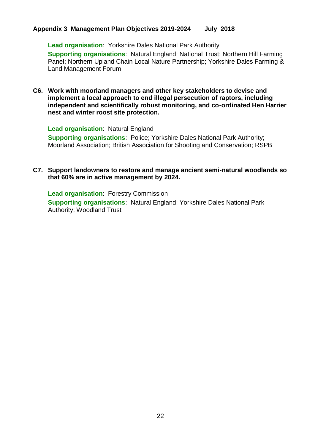**Lead organisation**: Yorkshire Dales National Park Authority **Supporting organisations**: Natural England; National Trust; Northern Hill Farming Panel; Northern Upland Chain Local Nature Partnership; Yorkshire Dales Farming & Land Management Forum

**C6. Work with moorland managers and other key stakeholders to devise and implement a local approach to end illegal persecution of raptors, including independent and scientifically robust monitoring, and co-ordinated Hen Harrier nest and winter roost site protection.**

**Lead organisation**: Natural England

**Supporting organisations**: Police; Yorkshire Dales National Park Authority; Moorland Association; British Association for Shooting and Conservation; RSPB

#### <span id="page-22-0"></span>**C7. Support landowners to restore and manage ancient semi-natural woodlands so that 60% are in active management by 2024.**

**Lead organisation**: Forestry Commission **Supporting organisations**: Natural England; Yorkshire Dales National Park Authority; Woodland Trust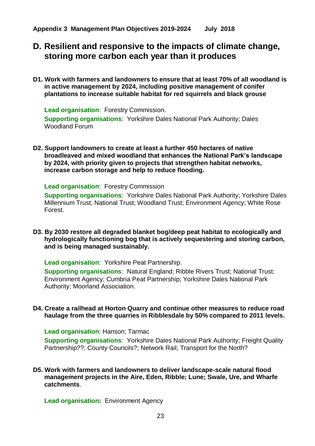# **D. Resilient and responsive to the impacts of climate change, storing more carbon each year than it produces**

**D1. Work with farmers and landowners to ensure that at least 70% of all woodland is in active management by 2024, including positive management of conifer plantations to increase suitable habitat for red squirrels and black grouse**

**Lead organisation**: Forestry Commission. **Supporting organisations**: Yorkshire Dales National Park Authority; Dales Woodland Forum

<span id="page-23-0"></span>**D2. Support landowners to create at least a further 450 hectares of native broadleaved and mixed woodland that enhances the National Park's landscape by 2024, with priority given to projects that strengthen habitat networks, increase carbon storage and help to reduce flooding.**

**Lead organisation**: Forestry Commission

**Supporting organisations**: Yorkshire Dales National Park Authority; Yorkshire Dales Millennium Trust; National Trust; Woodland Trust; Environment Agency; White Rose Forest.

<span id="page-23-1"></span>**D3. By 2030 restore all degraded blanket bog/deep peat habitat to ecologically and hydrologically functioning bog that is actively sequestering and storing carbon, and is being managed sustainably.**

**Lead organisation**: Yorkshire Peat Partnership.

**Supporting organisations**: Natural England; Ribble Rivers Trust; National Trust; Environment Agency; Cumbria Peat Partnership; Yorkshire Dales National Park Authority; Moorland Association.

#### **D4. Create a railhead at Horton Quarry and continue other measures to reduce road haulage from the three quarries in Ribblesdale by 50% compared to 2011 levels.**

**Lead organisation**: Hanson; Tarmac

**Supporting organisations**: Yorkshire Dales National Park Authority; Freight Quality Partnership??; County Councils?; Network Rail; Transport for the North?

**D5. Work with farmers and landowners to deliver landscape-scale natural flood management projects in the Aire, Eden, Ribble; Lune; Swale, Ure, and Wharfe catchments**.

**Lead organisation:** Environment Agency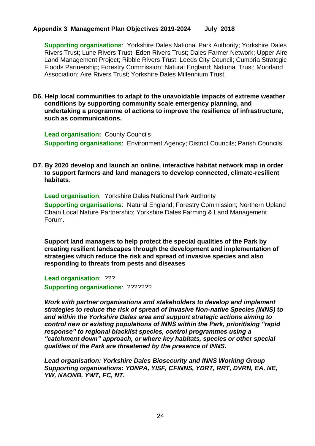**Supporting organisations**: Yorkshire Dales National Park Authority; Yorkshire Dales Rivers Trust; Lune Rivers Trust; Eden Rivers Trust; Dales Farmer Network; Upper Aire Land Management Project; Ribble Rivers Trust; Leeds City Council; Cumbria Strategic Floods Partnership; Forestry Commission; Natural England; National Trust; Moorland Association; Aire Rivers Trust; Yorkshire Dales Millennium Trust.

#### **D6. Help local communities to adapt to the unavoidable impacts of extreme weather conditions by supporting community scale emergency planning, and undertaking a programme of actions to improve the resilience of infrastructure, such as communications.**

**Lead organisation:** County Councils **Supporting organisations**: Environment Agency; District Councils; Parish Councils.

#### **D7. By 2020 develop and launch an online, interactive habitat network map in order to support farmers and land managers to develop connected, climate-resilient habitats**.

**Lead organisation**: Yorkshire Dales National Park Authority **Supporting organisations**: Natural England; Forestry Commission; Northern Upland Chain Local Nature Partnership; Yorkshire Dales Farming & Land Management Forum.

**Support land managers to help protect the special qualities of the Park by creating resilient landscapes through the development and implementation of strategies which reduce the risk and spread of invasive species and also responding to threats from pests and diseases**

**Lead organisation**: ??? **Supporting organisations: ????????** 

*Work with partner organisations and stakeholders to develop and implement strategies to reduce the risk of spread of Invasive Non-native Species (INNS) to and within the Yorkshire Dales area and support strategic actions aiming to control new or existing populations of INNS within the Park, prioritising "rapid response" to regional blacklist species, control programmes using a "catchment down" approach, or where key habitats, species or other special qualities of the Park are threatened by the presence of INNS.* 

*Lead organisation: Yorkshire Dales Biosecurity and INNS Working Group Supporting organisations: YDNPA, YISF, CFINNS, YDRT, RRT, DVRN, EA, NE, YW, NAONB, YWT, FC, NT.*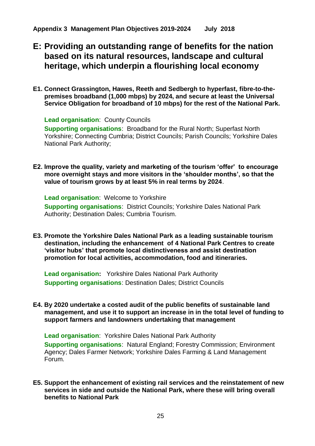- **E: Providing an outstanding range of benefits for the nation based on its natural resources, landscape and cultural heritage, which underpin a flourishing local economy**
- **E1. Connect Grassington, Hawes, Reeth and Sedbergh to hyperfast, fibre-to-thepremises broadband (1,000 mbps) by 2024, and secure at least the Universal Service Obligation for broadband of 10 mbps) for the rest of the National Park.**

**Lead organisation**: County Councils

**Supporting organisations**: Broadband for the Rural North; Superfast North Yorkshire; Connecting Cumbria; District Councils; Parish Councils; Yorkshire Dales National Park Authority;

**E2. Improve the quality, variety and marketing of the tourism 'offer' to encourage more overnight stays and more visitors in the 'shoulder months', so that the value of tourism grows by at least 5% in real terms by 2024**.

**Lead organisation**: Welcome to Yorkshire

**Supporting organisations**: District Councils; Yorkshire Dales National Park Authority; Destination Dales; Cumbria Tourism.

**E3. Promote the Yorkshire Dales National Park as a leading sustainable tourism destination, including the enhancement of 4 National Park Centres to create 'visitor hubs' that promote local distinctiveness and assist destination promotion for local activities, accommodation, food and itineraries.**

**Lead organisation:** Yorkshire Dales National Park Authority **Supporting organisations**: Destination Dales; District Councils

**E4. By 2020 undertake a costed audit of the public benefits of sustainable land management, and use it to support an increase in in the total level of funding to support farmers and landowners undertaking that management**

**Lead organisation**: Yorkshire Dales National Park Authority **Supporting organisations**: Natural England; Forestry Commission; Environment Agency; Dales Farmer Network; Yorkshire Dales Farming & Land Management Forum.

**E5. Support the enhancement of existing rail services and the reinstatement of new services in side and outside the National Park, where these will bring overall benefits to National Park**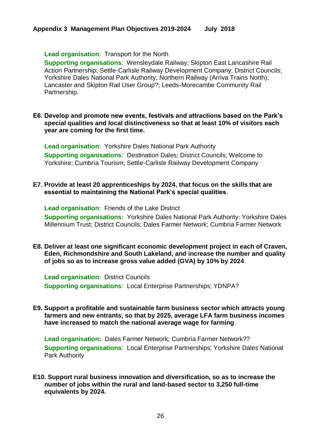**Lead organisation**: Transport for the North

**Supporting organisations**: Wensleydale Railway; Skipton East Lancashire Rail Action Partnership; Settle-Carlisle Railway Development Company; District Councils; Yorkshire Dales National Park Authority; Northern Railway (Arriva Trains North); Lancaster and Skipton Rail User Group?; Leeds-Morecambe Community Rail Partnership.

#### **E6. Develop and promote new events, festivals and attractions based on the Park's special qualities and local distinctiveness so that at least 10% of visitors each year are coming for the first time.**

**Lead organisation**: Yorkshire Dales National Park Authority **Supporting organisations**: Destination Dales; District Councils; Welcome to Yorkshire; Cumbria Tourism; Settle-Carlisle Railway Development Company

#### **E7. Provide at least 20 apprenticeships by 2024, that focus on the skills that are essential to maintaining the National Park's special qualities**.

**Lead organisation**: Friends of the Lake District **Supporting organisations**: Yorkshire Dales National Park Authority; Yorkshire Dales

**E8. Deliver at least one significant economic development project in each of Craven, Eden, Richmondshire and South Lakeland, and increase the number and quality** 

Millennium Trust; District Councils; Dales Farmer Network; Cumbria Farmer Network

**of jobs so as to increase gross value added (GVA) by 10% by 2024**.

**Lead organisation**: District Councils **Supporting organisations**: Local Enterprise Partnerships; YDNPA?

**E9. Support a profitable and sustainable farm business sector which attracts young farmers and new entrants, so that by 2025, average LFA farm business incomes have increased to match the national average wage for farming**.

**Lead organisation:** Dales Farmer Network; Cumbria Farmer Network?? **Supporting organisations**: Local Enterprise Partnerships; Yorkshire Dales National Park Authority

**E10. Support rural business innovation and diversification, so as to increase the number of jobs within the rural and land-based sector to 3,250 full-time equivalents by 2024.**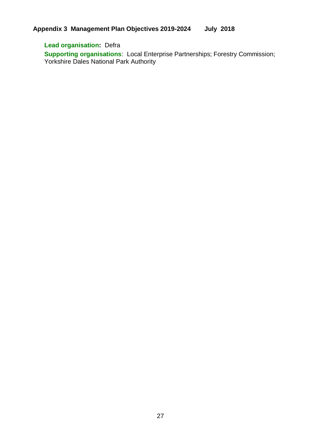### **Lead organisation:** Defra

**Supporting organisations**: Local Enterprise Partnerships; Forestry Commission; Yorkshire Dales National Park Authority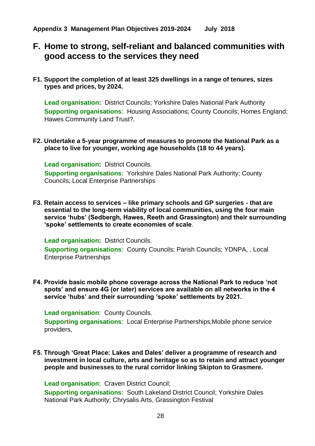# **F. Home to strong, self-reliant and balanced communities with good access to the services they need**

**F1. Support the completion of at least 325 dwellings in a range of tenures, sizes types and prices, by 2024.** 

**Lead organisation:** District Councils; Yorkshire Dales National Park Authority **Supporting organisations**: Housing Associations; County Councils; Homes England; Hawes Community Land Trust?.

**F2. Undertake a 5-year programme of measures to promote the National Park as a place to live for younger, working age households (18 to 44 years).** 

**Lead organisation:** District Councils. **Supporting organisations**: Yorkshire Dales National Park Authority; County Councils; Local Enterprise Partnerships

**F3. Retain access to services – like primary schools and GP surgeries - that are essential to the long-term viability of local communities, using the four main service 'hubs' (Sedbergh, Hawes, Reeth and Grassington) and their surrounding 'spoke' settlements to create economies of scale**.

**Lead organisation:** District Councils. **Supporting organisations**: County Councils; Parish Councils; YDNPA, , Local Enterprise Partnerships

**F4. Provide basic mobile phone coverage across the National Park to reduce 'not spots' and ensure 4G (or later) services are available on all networks in the 4 service 'hubs' and their surrounding 'spoke' settlements by 2021.**

**Lead organisation**: County Councils.

**Supporting organisations**: Local Enterprise Partnerships,Mobile phone service providers,

**F5. Through 'Great Place: Lakes and Dales' deliver a programme of research and investment in local culture, arts and heritage so as to retain and attract younger people and businesses to the rural corridor linking Skipton to Grasmere.**

**Lead organisation**: Craven District Council;

**Supporting organisations**: South Lakeland District Council; Yorkshire Dales National Park Authority; Chrysalis Arts, Grassington Festival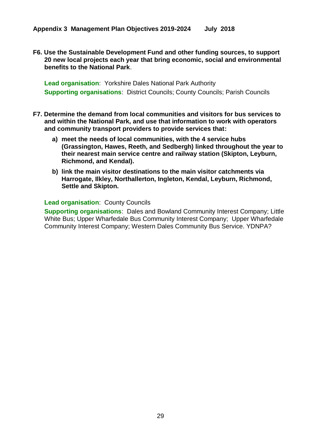**F6. Use the Sustainable Development Fund and other funding sources, to support 20 new local projects each year that bring economic, social and environmental benefits to the National Park**.

**Lead organisation**: Yorkshire Dales National Park Authority **Supporting organisations**: District Councils; County Councils; Parish Councils

- **F7. Determine the demand from local communities and visitors for bus services to and within the National Park, and use that information to work with operators and community transport providers to provide services that:**
	- **a) meet the needs of local communities, with the 4 service hubs (Grassington, Hawes, Reeth, and Sedbergh) linked throughout the year to their nearest main service centre and railway station (Skipton, Leyburn, Richmond, and Kendal).**
	- **b) link the main visitor destinations to the main visitor catchments via Harrogate, Ilkley, Northallerton, Ingleton, Kendal, Leyburn, Richmond, Settle and Skipton.**

#### **Lead organisation**: County Councils

**Supporting organisations**: Dales and Bowland Community Interest Company; Little White Bus; Upper Wharfedale Bus Community Interest Company; Upper Wharfedale Community Interest Company; Western Dales Community Bus Service. YDNPA?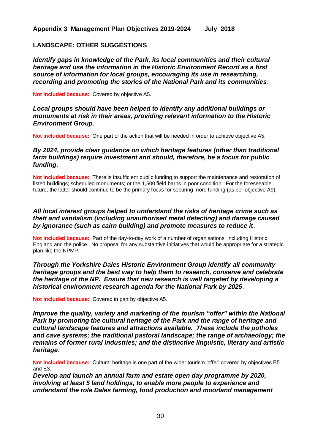#### **LANDSCAPE: OTHER SUGGESTIONS**

*Identify gaps in knowledge of the Park, its local communities and their cultural heritage and use the information in the Historic Environment Record as a first source of information for local groups, encouraging its use in researching, recording and promoting the stories of the National Park and its communities*.

**Not included because:** Covered by objective A5*.*

#### *Local groups should have been helped to identify any additional buildings or monuments at risk in their areas, providing relevant information to the Historic Environment Group*.

**Not included because:** One part of the action that will be needed in order to achieve objective A5.

#### *By 2024, provide clear guidance on which heritage features (other than traditional farm buildings) require investment and should, therefore, be a focus for public funding*.

**Not included because:** There is insufficient public funding to support the maintenance and restoration of listed buildings; scheduled monuments; or the 1,500 field barns in poor condition. For the foreseeable future, the latter should continue to be the primary focus for securing more funding (as per objective A9).

#### *All local interest groups helped to understand the risks of heritage crime such as theft and vandalism (including unauthorised metal detecting) and damage caused by ignorance (such as cairn building) and promote measures to reduce it*.

**Not included because:** Part of the day-to-day work of a number of organisations, including Historic England and the police. No proposal for any substantive initiatives that would be appropriate for a strategic plan like the NPMP.

#### *Through the Yorkshire Dales Historic Environment Group identify all community heritage groups and the best way to help them to research, conserve and celebrate the heritage of the NP. Ensure that new research is well targeted by developing a historical environment research agenda for the National Park by 2025*.

**Not included because:** Covered in part by objective A5*.*

*Improve the quality, variety and marketing of the tourism "offer" within the National Park by promoting the cultural heritage of the Park and the range of heritage and cultural landscape features and attractions available. These include the potholes and cave systems; the traditional pastoral landscape; the range of archaeology; the remains of former rural industries; and the distinctive linguistic, literary and artistic heritage*.

**Not included because:** Cultural heritage is one part of the wider tourism 'offer' covered by objectives B5 and E3.

*Develop and launch an annual farm and estate open day programme by 2020, involving at least 5 land holdings, to enable more people to experience and understand the role Dales farming, food production and moorland management*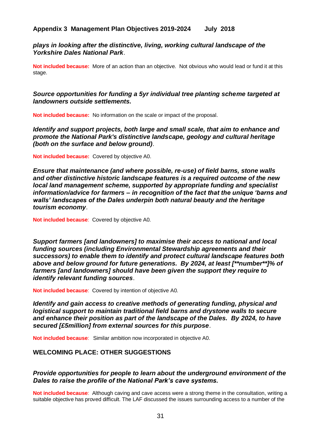*plays in looking after the distinctive, living, working cultural landscape of the Yorkshire Dales National Park*.

**Not included because:** More of an action than an objective. Not obvious who would lead or fund it at this stage.

*Source opportunities for funding a 5yr individual tree planting scheme targeted at landowners outside settlements.* 

**Not included because:** No information on the scale or impact of the proposal.

*Identify and support projects, both large and small scale, that aim to enhance and promote the National Park's distinctive landscape, geology and cultural heritage (both on the surface and below ground)*.

**Not included because:** Covered by objective [A0.](#page-17-0)

*Ensure that maintenance (and where possible, re-use) of field barns, stone walls and other distinctive historic landscape features is a required outcome of the new local land management scheme, supported by appropriate funding and specialist information/advice for farmers – in recognition of the fact that the unique 'barns and walls' landscapes of the Dales underpin both natural beauty and the heritage tourism economy*.

**Not included because**: Covered by objective [A0.](#page-17-1)

*Support farmers [and landowners] to maximise their access to national and local funding sources (including Environmental Stewardship agreements and their successors) to enable them to identify and protect cultural landscape features both above and below ground for future generations. By 2024, at least [\*\*number\*\*]% of farmers [and landowners] should have been given the support they require to identify relevant funding sources*.

**Not included because**: Covered by intention of objective [A0.](#page-17-1)

*Identify and gain access to creative methods of generating funding, physical and logistical support to maintain traditional field barns and drystone walls to secure and enhance their position as part of the landscape of the Dales. By 2024, to have secured [£5million] from external sources for this purpose*.

**Not included because**:Similar ambition now incorporated in objective [A0.](#page-17-2)

#### **WELCOMING PLACE: OTHER SUGGESTIONS**

#### *Provide opportunities for people to learn about the underground environment of the Dales to raise the profile of the National Park's cave systems.*

**Not included because**: Although caving and cave access were a strong theme in the consultation, writing a suitable objective has proved difficult. The LAF discussed the issues surrounding access to a number of the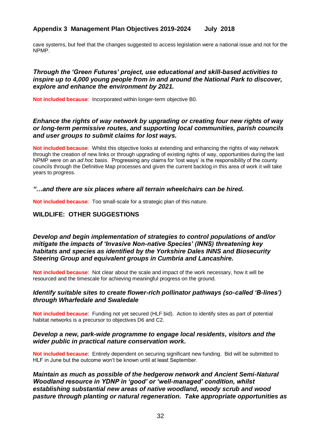cave systems, but feel that the changes suggested to access legislation were a national issue and not for the NPMP.

#### *Through the 'Green Futures' project, use educational and skill-based activities to inspire up to 4,000 young people from in and around the National Park to discover, explore and enhance the environment by 2021.*

**Not included because**: Incorporated within longer-term objective [B0.](#page-18-0)

#### *Enhance the rights of way network by upgrading or creating four new rights of way or long-term permissive routes, and supporting local communities, parish councils and user groups to submit claims for lost ways.*

**Not included because**: Whilst this objective looks at extending and enhancing the rights of way network through the creation of new links or through upgrading of existing rights of way, opportunities during the last NPMP were on an *ad hoc* basis. Progressing any claims for 'lost ways' is the responsibility of the county councils through the Definitive Map processes and given the current backlog in this area of work it will take years to progress.

#### *"…and there are six places where all terrain wheelchairs can be hired.*

**Not included because**: Too small-scale for a strategic plan of this nature.

#### **WILDLIFE: OTHER SUGGESTIONS**

*Develop and begin implementation of strategies to control populations of and/or mitigate the impacts of 'Invasive Non-native Species' (INNS) threatening key habitats and species as identified by the Yorkshire Dales INNS and Biosecurity Steering Group and equivalent groups in Cumbria and Lancashire.*

**Not included because**: Not clear about the scale and impact of the work necessary, how it will be resourced and the timescale for achieving meaningful progress on the ground.

#### *Identify suitable sites to create flower-rich pollinator pathways (so-called 'B-lines') through Wharfedale and Swaledale*

**Not included because**: Funding not yet secured (HLF bid). Action to identify sites as part of potential habitat networks is a precursor to objectives D6 and C2.

#### *Develop a new, park-wide programme to engage local residents, visitors and the wider public in practical nature conservation work.*

**Not included because**: Entirely dependent on securing significant new funding. Bid will be submitted to HLF in June but the outcome won't be known until at least September.

*Maintain as much as possible of the hedgerow network and Ancient Semi-Natural Woodland resource in YDNP in 'good' or 'well-managed' condition, whilst establishing substantial new areas of native woodland, woody scrub and wood pasture through planting or natural regeneration. Take appropriate opportunities as*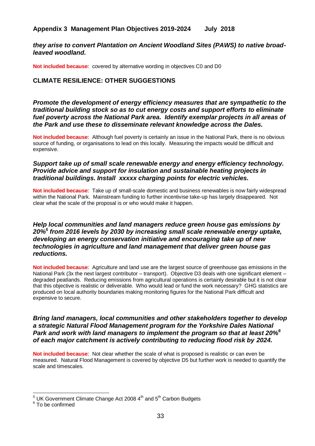#### *they arise to convert Plantation on Ancient Woodland Sites (PAWS) to native broadleaved woodland.*

**Not included because**: covered by alternative wording in objectives [C0](#page-22-0) and [D0](#page-23-0)

#### **CLIMATE RESILIENCE: OTHER SUGGESTIONS**

*Promote the development of energy efficiency measures that are sympathetic to the traditional building stock so as to cut energy costs and support efforts to eliminate fuel poverty across the National Park area. Identify exemplar projects in all areas of the Park and use these to disseminate relevant knowledge across the Dales.*

**Not included because**: Although fuel poverty is certainly an issue in the National Park, there is no obvious source of funding, or organisations to lead on this locally. Measuring the impacts would be difficult and expensive.

#### *Support take up of small scale renewable energy and energy efficiency technology. Provide advice and support for insulation and sustainable heating projects in traditional buildings. Install xxxxx charging points for electric vehicles.*

**Not included because**: Take up of small-scale domestic and business renewables is now fairly widespread within the National Park. Mainstream funding to further incentivise take-up has largely disappeared. Not clear what the scale of the proposal is or who would make it happen.

#### *Help local communities and land managers reduce green house gas emissions by 20%<sup>5</sup> from 2016 levels by 2030 by increasing small scale renewable energy uptake, developing an energy conservation initiative and encouraging take up of new technologies in agriculture and land management that deliver green house gas reductions.*

**Not included because**: Agriculture and land use are the largest source of greenhouse gas emissions in the National Park (3x the next largest contributor – transport). Objective D3 deals with one significant element – degraded peatlands. Reducing emissions from agricultural operations is certainly desirable but it is not clear that this objective is realistic or deliverable. Who would lead or fund the work necessary? GHG statistics are produced on local authority boundaries making monitoring figures for the National Park difficult and expensive to secure.

*Bring land managers, local communities and other stakeholders together to develop a strategic Natural Flood Management program for the Yorkshire Dales National Park and work with land managers to implement the program so that at least 20%<sup>6</sup> of each major catchment is actively contributing to reducing flood risk by 2024.* 

**Not included because**: Not clear whether the scale of what is proposed is realistic or can even be measured. Natural Flood Management is covered by objective D5 but further work is needed to quantify the scale and timescales.

 $\overline{a}$  $5$  UK Government Climate Change Act 2008 4<sup>th</sup> and  $5<sup>th</sup>$  Carbon Budgets

<sup>&</sup>lt;sup>6</sup> To be confirmed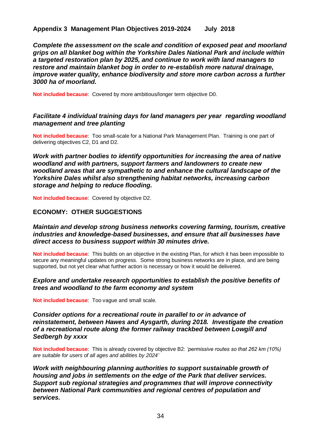*Complete the assessment on the scale and condition of exposed peat and moorland grips on all blanket bog within the Yorkshire Dales National Park and include within a targeted restoration plan by 2025, and continue to work with land managers to restore and maintain blanket bog in order to re-establish more natural drainage, improve water quality, enhance biodiversity and store more carbon across a further 3000 ha of moorland.*

**Not included because**: Covered by more ambitious/longer term objective [D0.](#page-23-1)

#### *Facilitate 4 individual training days for land managers per year regarding woodland management and tree planting*

**Not included because**: Too small-scale for a National Park Management Plan. Training is one part of delivering objectives C2, D1 and D2.

*Work with partner bodies to identify opportunities for increasing the area of native woodland and with partners, support farmers and landowners to create new woodland areas that are sympathetic to and enhance the cultural landscape of the Yorkshire Dales whilst also strengthening habitat networks, increasing carbon storage and helping to reduce flooding.*

**Not included because**: Covered by objective D2.

#### **ECONOMY: OTHER SUGGESTIONS**

#### *Maintain and develop strong business networks covering farming, tourism, creative industries and knowledge-based businesses, and ensure that all businesses have direct access to business support within 30 minutes drive.*

**Not included because**: This builds on an objective in the existing Plan, for which it has been impossible to secure any meaningful updates on progress. Some strong business networks are in place, and are being supported, but not yet clear what further action is necessary or how it would be delivered.

#### *Explore and undertake research opportunities to establish the positive benefits of trees and woodland to the farm economy and system*

**Not included because**: Too vague and small scale.

#### *Consider options for a recreational route in parallel to or in advance of reinstatement, between Hawes and Aysgarth, during 2018. Investigate the creation of a recreational route along the former railway trackbed between Lowgill and Sedbergh by xxxx*

**Not included because**: This is already covered by objective B2: *'permissive routes so that 262 km (10%) are suitable for users of all ages and abilities by 2024'* 

*Work with neighbouring planning authorities to support sustainable growth of housing and jobs in settlements on the edge of the Park that deliver services. Support sub regional strategies and programmes that will improve connectivity between National Park communities and regional centres of population and services.*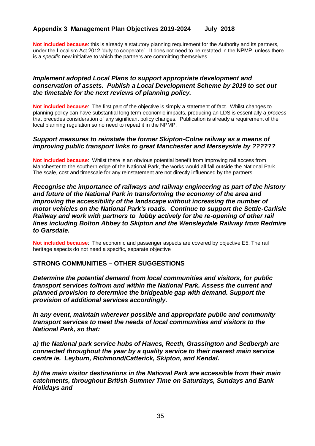**Not included because**: this is already a statutory planning requirement for the Authority and its partners, under the Localism Act 2012 'duty to cooperate'. It does not need to be restated in the NPMP, unless there is a *specific* new initiative to which the partners are committing themselves.

#### *Implement adopted Local Plans to support appropriate development and conservation of assets. Publish a Local Development Scheme by 2019 to set out the timetable for the next reviews of planning policy.*

**Not included because**: The first part of the objective is simply a statement of fact. Whilst changes to planning policy can have substantial long term economic impacts, producing an LDS is essentially a *process* that precedes consideration of any significant policy changes. Publication is already a requirement of the local planning regulation so no need to repeat it in the NPMP.

#### *Support measures to reinstate the former Skipton-Colne railway as a means of improving public transport links to great Manchester and Merseyside by ??????*

**Not included because**: Whilst there is an obvious potential benefit from improving rail access from Manchester to the southern edge of the National Park, the works would all fall outside the National Park. The scale, cost and timescale for any reinstatement are not directly influenced by the partners.

#### *Recognise the importance of railways and railway engineering as part of the history and future of the National Park in transforming the economy of the area and improving the accessibility of the landscape without increasing the number of motor vehicles on the National Park's roads. Continue to support the Settle-Carlisle Railway and work with partners to lobby actively for the re-opening of other rail lines including Bolton Abbey to Skipton and the Wensleydale Railway from Redmire to Garsdale.*

**Not included because**: The economic and passenger aspects are covered by objective E5. The rail heritage aspects do not need a specific, separate objective

#### **STRONG COMMUNITIES – OTHER SUGGESTIONS**

*Determine the potential demand from local communities and visitors, for public transport services to/from and within the National Park. Assess the current and planned provision to determine the bridgeable gap with demand. Support the provision of additional services accordingly.*

*In any event, maintain wherever possible and appropriate public and community transport services to meet the needs of local communities and visitors to the National Park, so that:* 

*a) the National park service hubs of Hawes, Reeth, Grassington and Sedbergh are connected throughout the year by a quality service to their nearest main service centre ie. Leyburn, Richmond/Catterick, Skipton, and Kendal.* 

*b) the main visitor destinations in the National Park are accessible from their main catchments, throughout British Summer Time on Saturdays, Sundays and Bank Holidays and*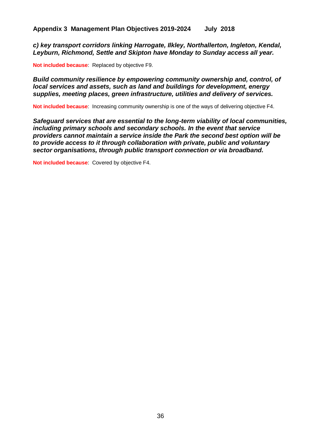*c) key transport corridors linking Harrogate, Ilkley, Northallerton, Ingleton, Kendal, Leyburn, Richmond, Settle and Skipton have Monday to Sunday access all year.*

**Not included because**: Replaced by objective F9.

*Build community resilience by empowering community ownership and, control, of local services and assets, such as land and buildings for development, energy supplies, meeting places, green infrastructure, utilities and delivery of services.*

**Not included because**: Increasing community ownership is one of the ways of delivering objective F4.

*Safeguard services that are essential to the long-term viability of local communities, including primary schools and secondary schools. In the event that service providers cannot maintain a service inside the Park the second best option will be to provide access to it through collaboration with private, public and voluntary sector organisations, through public transport connection or via broadband.*

**Not included because**: Covered by objective F4.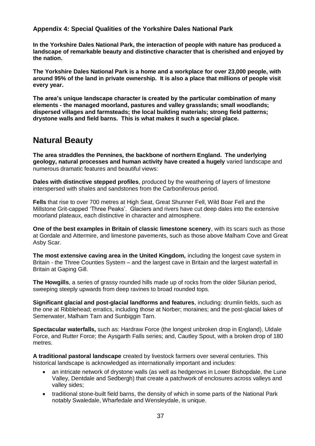**In the Yorkshire Dales National Park, the interaction of people with nature has produced a landscape of remarkable beauty and distinctive character that is cherished and enjoyed by the nation.**

**The Yorkshire Dales National Park is a home and a workplace for over 23,000 people, with around 95% of the land in private ownership. It is also a place that millions of people visit every year.** 

**The area's unique landscape character is created by the particular combination of many elements - the managed moorland, pastures and valley grasslands; small woodlands; dispersed villages and farmsteads; the local building materials; strong field patterns; drystone walls and field barns. This is what makes it such a special place.** 

# **Natural Beauty**

**The area straddles the Pennines, the backbone of northern England. The underlying geology, natural processes and human activity have created a hugely** varied landscape and numerous dramatic features and beautiful views:

**Dales with distinctive stepped profiles**, produced by the weathering of layers of limestone interspersed with shales and sandstones from the Carboniferous period.

**Fells** that rise to over 700 metres at High Seat, Great Shunner Fell, Wild Boar Fell and the Millstone Grit-capped 'Three Peaks'. Glaciers and rivers have cut deep dales into the extensive moorland plateaux, each distinctive in character and atmosphere.

**One of the best examples in Britain of classic limestone scenery**, with its scars such as those at Gordale and Attermire, and limestone pavements, such as those above Malham Cove and Great Asby Scar.

**The most extensive caving area in the United Kingdom,** including the longest cave system in Britain - the Three Counties System – and the largest cave in Britain and the largest waterfall in Britain at Gaping Gill.

**The Howgills**, a series of grassy rounded hills made up of rocks from the older Silurian period, sweeping steeply upwards from deep ravines to broad rounded tops.

**Significant glacial and post-glacial landforms and features**, including: drumlin fields, such as the one at Ribblehead; erratics, including those at Norber; moraines; and the post-glacial lakes of Semerwater, Malham Tarn and Sunbiggin Tarn.

**Spectacular waterfalls,** such as: Hardraw Force (the longest unbroken drop in England), Uldale Force, and Rutter Force; the Aysgarth Falls series; and, Cautley Spout, with a broken drop of 180 metres.

**A traditional pastoral landscape** created by livestock farmers over several centuries. This historical landscape is acknowledged as internationally important and includes:

- an intricate network of drystone walls (as well as hedgerows in Lower Bishopdale, the Lune Valley, Dentdale and Sedbergh) that create a patchwork of enclosures across valleys and valley sides;
- traditional stone-built field barns, the density of which in some parts of the National Park notably Swaledale, Wharfedale and Wensleydale, is unique.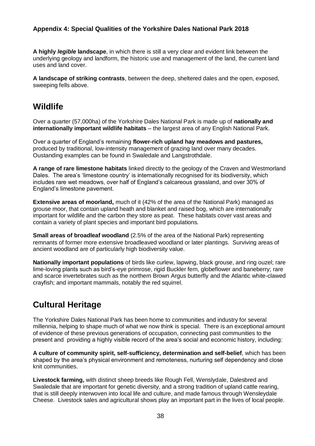**A highly** *legible* **landscape**, in which there is still a very clear and evident link between the underlying geology and landform, the historic use and management of the land, the current land uses and land cover.

**A landscape of striking contrasts**, between the deep, sheltered dales and the open, exposed, sweeping fells above.

# **Wildlife**

Over a quarter (57,000ha) of the Yorkshire Dales National Park is made up of **nationally and internationally important wildlife habitats** – the largest area of any English National Park.

Over a quarter of England's remaining **flower-rich upland hay meadows and pastures,** produced by traditional, low-intensity management of grazing land over many decades. Oustanding examples can be found in Swaledale and Langstrothdale.

**A range of rare limestone habitats** linked directly to the geology of the Craven and Westmorland Dales. The area's 'limestone country' is internationally recognised for its biodiversity, which includes rare wet meadows, over half of England's calcareous grassland, and over 30% of England's limestone pavement.

**Extensive areas of moorland,** much of it (42% of the area of the National Park) managed as grouse moor, that contain upland heath and blanket and raised bog, which are internationally important for wildlife and the carbon they store as peat. These habitats cover vast areas and contain a variety of plant species and important bird populations.

**Small areas of broadleaf woodland** (2.5% of the area of the National Park) representing remnants of former more extensive broadleaved woodland or later plantings. Surviving areas of ancient woodland are of particularly high biodiversity value.

**Nationally important populations** of birds like curlew, lapwing, black grouse, and ring ouzel; rare lime-loving plants such as bird's-eye primrose, rigid Buckler fern, globeflower and baneberry; rare and scarce invertebrates such as the northern Brown Argus butterfly and the Atlantic white-clawed crayfish; and important mammals, notably the red squirrel.

# **Cultural Heritage**

The Yorkshire Dales National Park has been home to communities and industry for several millennia, helping to shape much of what we now think is special. There is an exceptional amount of evidence of these previous generations of occupation, connecting past communities to the present and providing a highly visible record of the area's social and economic history, including:

**A culture of community spirit, self-sufficiency, determination and self-belief**, which has been shaped by the area's physical environment and remoteness, nurturing self dependency and close knit communities.

**Livestock farming,** with distinct sheep breeds like Rough Fell, Wenslydale, Dalesbred and Swaledale that are important for genetic diversity, and a strong tradition of upland cattle rearing, that is still deeply interwoven into local life and culture, and made famous through Wensleydale Cheese. Livestock sales and agricultural shows play an important part in the lives of local people.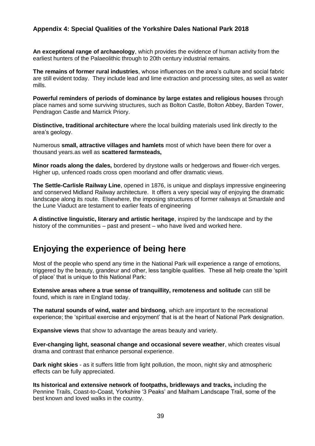**An exceptional range of archaeology**, which provides the evidence of human activity from the earliest hunters of the Palaeolithic through to 20th century industrial remains.

**The remains of former rural industries**, whose influences on the area's culture and social fabric are still evident today. They include lead and lime extraction and processing sites, as well as water mills.

**Powerful reminders of periods of dominance by large estates and religious houses** through place names and some surviving structures, such as Bolton Castle, Bolton Abbey, Barden Tower, Pendragon Castle and Marrick Priory.

**Distinctive, traditional architecture** where the local building materials used link directly to the area's geology.

Numerous **small, attractive villages and hamlets** most of which have been there for over a thousand years.as well as **scattered farmsteads,**

**Minor roads along the dales,** bordered by drystone walls or hedgerows and flower-rich verges. Higher up, unfenced roads cross open moorland and offer dramatic views.

**The Settle-Carlisle Railway Line**, opened in 1876, is unique and displays impressive engineering and conserved Midland Railway architecture. It offers a very special way of enjoying the dramatic landscape along its route. Elsewhere, the imposing structures of former railways at Smardale and the Lune Viaduct are testament to earlier feats of engineering

**A distinctive linguistic, literary and artistic heritage**, inspired by the landscape and by the history of the communities – past and present – who have lived and worked here.

## **Enjoying the experience of being here**

Most of the people who spend any time in the National Park will experience a range of emotions, triggered by the beauty, grandeur and other, less tangible qualities. These all help create the 'spirit of place' that is unique to this National Park:

**Extensive areas where a true sense of tranquillity, remoteness and solitude** can still be found, which is rare in England today.

**The natural sounds of wind, water and birdsong**, which are important to the recreational experience; the 'spiritual exercise and enjoyment' that is at the heart of National Park designation.

**Expansive views** that show to advantage the areas beauty and variety.

**Ever-changing light, seasonal change and occasional severe weather**, which creates visual drama and contrast that enhance personal experience.

**Dark night skies** - as it suffers little from light pollution, the moon, night sky and atmospheric effects can be fully appreciated.

**Its historical and extensive network of footpaths, bridleways and tracks,** including the Pennine Trails, Coast-to-Coast, Yorkshire '3 Peaks' and Malham Landscape Trail, some of the best known and loved walks in the country.